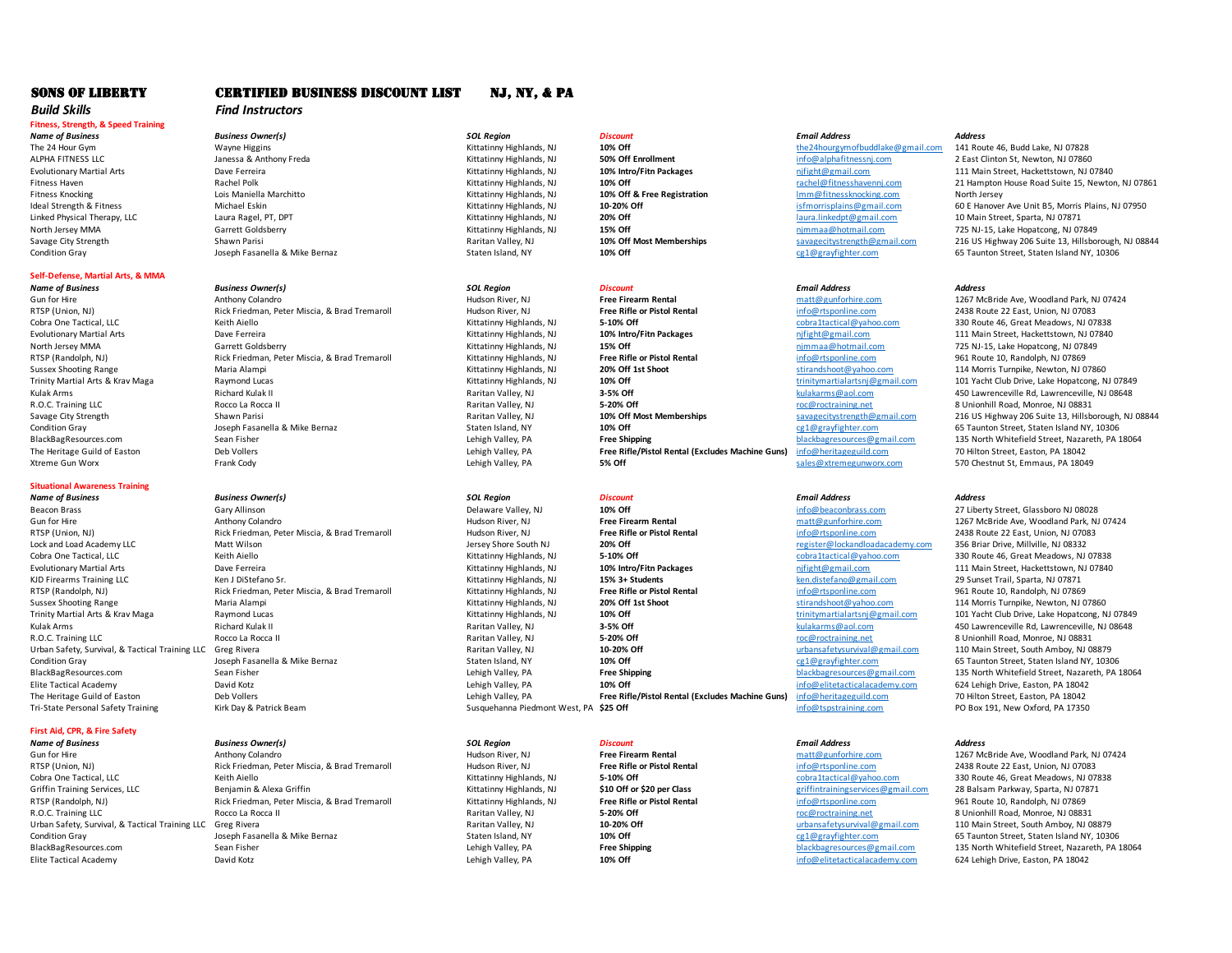# *Build Skills Find Instructors*

# **Fitness, Strength, & Speed Training**

# **Self-Defense, Martial Arts, & MMA**

# **Situational Awareness Training**

*Name of Business Business Owner(s) SOL Region Discount Email Address Address* Beacon Brass Gary Allinson Computer of the United States of Delaware Valley, NJ and the Free Firearm Rental of the matt@gunforhire.com 27 Liberty Street, Glassboro NJ 08028<br>
Brass Gun for Hire Computer of the Modeland Park

# **First Aid, CPR, & Fire Safety**

*Name of Business Business Owner(s) SOL Region Discount Email Address Address*

# SONS OF LIBERTY CERTIFIED BUSINESS DISCOUNT LIST NJ, NY, & PA

*Name of Business Business Owner(s) SOL Region Discount Email Address Address* Fitness Knocking Lois Maniella Marchitto Kittatinny Highlands, NJ **10% Off & Free Registration** lmm@fitnessknocking.com North Jersey

*Name of Business Business Owner(s) SOL Region Discount Email Address Address* Gun for Hire Anthony Colandro Anthony Colandro Hudson River, NJ Hudson River, NJ **Free Firearm Rental** matt@gunforhire.com and the the McBride Ave, Woodland Park, NJ 07424<br>1299 RTSP (Union, NJ) Rick Friedman, Peter Miscia. RTSP (Union, NJ) Rick Friedman, Peter Miscia, & Brad Tremaroll Hudson River, NJ **Free Rifle or Pistol Rental** info@rtsponline.com 2438 Route 22 East, Union, NJ 07083<br>Cobra Dne Tactical <sub>R</sub>ubson Rental Agent Meadows, NJ 078 Cobra One Tactical, LLC **Cobrands, Cobrands, Cobratactical**@yahoo.com 330 Route 46, Great Meadows, NJ 07838 Route 46, Great Meadows, NJ 07838 Evolutionary Martial Arts **Evolutionary Martial Arts Dave Ferreira** Dave Ferreira Martial Arts Dave Ferreira Martia<br>
Marth Jersey MMA North Dave Ferreira Sarrett Goldsberry **111 Main Street Collectionary Highlands, NJ 0784** RTSP (Randolph, NJ) Rick Friedman, Peter Miscia, & Brad Tremaroll Kittatinny Highlands, NJ **Free Rifle or Pistol Rental** info@rtsponline.com info@rtsponline.com 10, Randshoot @vahoo.com 961 Route 10, Randolph, NJ 107669969 Sussex Shooting Range Maria Alampi Maria Alampi Maria Alampi Sussex Sussex Shoot Stirandshoot Maria Alampi Maria Alampi Maria Alampi Sussex Shooting Stirandshoot over trinity and the stirandshoot over the stirandshoot over Trinity Martial Arts and Lucas and Lucas Maga Raymond Lucas Kittatinny Highlands, NJ 10% Off 197849<br>1974) Ravitan Valley, NJ 19848 1979 1984 1984 1997 101 Yacht Com 101 Yacht Club Drive, Lake Hopatcong, NJ 07849<br>1976-1978 Example Arms Arms Arms Richard Kulak II Raritan Valley, Nurrence and Arms and Arms Arms and Arms and Arms and Arms and Arms and Arms and Arms and Arms and Arms and Arms and Arms and Arms and Arms and Arms and Arms and Arms R.O.C. Training LLC **Rocco La Rocca II Rocco La Rocca II Raritan Valley, NJ 5-20% Off 198831 Rocco La Rocca II Rocco La Rocca II 198831 Rocco La Rocca II 198831 Rocco La Rocca II 198831 Rocco La Roc** Condition Gray Staten Island, NY Condition Gray Condition Gray Staten Island, NY Condition Gray Callegravighter.com and the Staten Island, NY, 10306<br>
Staten Islam Lehin Machine David Charles and Staten Island NY, 10306 Leh BlackBagResources.com Sean Fisher Sean Fisher Sean Fisher Sean Fisher Sean Free Shipping (PA Reader of the Street Lehigh Valley, PA Free Shipping Free Shipping and the Street Street, Carl 25 North Whitefield Street, Nazare

Gun for Hire Anthony Colandro Anthony Colandro Hudson River, NJ Hudson River, NJ **Free Firearm Rental** matt@gunforhire.com 1267 McBride Ave, Woodland Park, NJ 07424<br>1299 RTSP (Union, NJ) Rick Friedman, Peter Miscia, & Brad RTSP (Union, NJ) Rick Friedman, Peter Miscia, & Brad Tremaroll Hudson River, NJ **Free Rifle or Pistol Rental** info@rtsponline.com 2438 Route 22 East, Union, NJ 070<br>Lock and Load Academy LLC **Man Hudson Man Hudson Academy C** Lock and Load Academy LLC Matt Wilson Matt Wilson Jersey Shore South NJ 20% Off **1996 and Load Academy.com The Content Academy.com Jersey Shore South NJ 20% Off register**@lockandloadacademy.com 35-10% Off Colora 1 actica

RTSP (Union, NJ) Rick Friedman, Peter Miscia, & Brad Tremaroll Hudson River, NJ Free Rifle or Pistol Rental and the metal and the entity of the Union, NJ 0708306 Route 2022 Route 2023 Route 22 East, Union, NJ 0708315666716 Cobra 1tatical, Coveration Cobra One Cobra One Cobratactical, Cobratactical, Copractical, Copractical, Copractical, Copractical, Copractical, Copractical, Copractical, Copractical, Copractical, Copractical, Copractical, Co Griffin Training Services, LLC **Senjamin & Alexa Griffin** Musta Alexa Griffin Balexa Griffin Alexa Griffin Alexa Griffin Alexa Griffin Emaroll Kitatinny Highlands, NJ **\$10 Off or \$20 per Class** and the priffintrainingservi RTSP (Randolph, NJ) Rick Friedman, Peter Miscia, & Brad Tremaroll Kittatinny Highlands, NJ **Free Rifle or Pistol Rental** enter the process info@rtsponline.com 961 Route 10, 2006 Route 10, Route 10, Route 10, Randolph, NJ 1 Urban Safety, Survival, & Tactical Training LLC Greg Rivera **Naritan Valley, NJ 10-20% Off** and the Urbansafetysurvival Contition Condition and the Main Street, South Amboy, NJ 08879<br>19% Off 10% Off and Distribution Cray Condition Gray Staten Island, NY Staten Island, NY **10% Off** cg1@grayfighter.com 65 Taunton Street, Staten Island NY, 10306 Elite Tactical Academy **David Kotz** David Kotz **Channel Community Controllering Valley, PA 10% Off and the particular of the info@elitetacticalacademy.com 624 Lehigh Drive, Easton, PA 18042** 

The Heritage Guild of East **Free Rifle/Pistol Rental (Excludes Machine Guns) East of East Commental Street, Easton**<br> **Free Rifle** Camerican Street, East of the Street, East of the Street, East of the Street, East of the

Susquehanna Piedmont West, PA \$25 Off

# Cobra One Tactical, LLC **Cobra Cobra Cobra Cobratactical** Cobra Coractical Coractical Cobra Cobra Cobra Cobra Cobra Cobra Cobra Cobra Cobra Cobra Cobra Cobra Cobra Cobra Cobra Cobra Cobra Cobra Cobra Cobra Cobra Cobra Cobr Evolutionary Martial Arts **111 Main Street, Hackettstown, NJ 07840**<br>
Kittatinny Highlands, NJ 1976 15 1976 111 Main Street, Hackettstown, NJ 07840<br>
Kittatinny Highlands, NJ 1576 1576 1576 1587 1598 1588 1589 1589 1599 1599 KJD Firearms Training LLC **Ken JOSTEFANO ST.** Kittatinny Highlands, NJ **15% 3+ Students** ken.distefano@gmail.com 29 Sunset Trail, Sparta, NJ 07871 RTSP (Randolph, NJ) Rick Friedman, Peter Miscia, & Brad Tremaroll Kittatinny Highlands, NJ **Free Rifle or Pistol Rental** info@rtsponline.com 961 Route 10, Randolph, NJ 07869<br>Sussex Shooting Range Maria Alampi Maria Alampi Sussex Shooting Range Maria Alampi Maria Alampi Maria Alampi Sussex Sussex Shoot Stirandshoot Maria Alampi Maria Alampi Maria Alampi Sussex Shooting Stirandshoot over trinity and the stirandshoot over the stirandshoot over Trinity Martial Arts & Krav Maga Raymond Lucas **Raymond Lucas** Kittatinny Highlands, NJ **10% Off** 108 Maga Raymond Lucas Kittatinny Highlands, NJ 10849 Raritan Valley, NJ 101 Wacht Club Drive, Lake Hopatcong, NJ 07849<br>Rari Example Arms Richard Kulak II Raritan Valley, NJ **3-5% Off** and the substantive of the server and the server and the server and the server and the server and the server and the server and the server and the server and the Raritan Valley, NJ **5-20% Off** 5-20% Off and Rocco La Rocco La Rocco La Rocco La Rocco 2011 Road, Monroe, NJ 08831<br>10-20% Off and a Rocco La Rocco La Rocco La Rocco La Rocco 2010 National Rocco 2012 And Rocco 2012 And Davi Urban Safety, Survival, & Tactical Training LLC Greg Rivera Raritan Valley, NJ **10-20% Off** urbansafetysurvival@gmail.com 110 Main Street, South Amboy, NJ 08879 Condition Gray Condition Gray Condition Gray Condition Gray Condition Gray Condition Gray Condition Gray Staten Island, NY<br>135 North Whitefield Street, Nazareth, PA<br>135 North Whitefield Street, Nazareth, PA

BlackBagResources.com Sean Fisher Sean Fisher Sean Fisher Lehigh Valley, PA **Free Shipping Free Shipping** blackbagresources@gmail.com 135 North Whitefield Street, Nazareth, PA 18064<br>Elite Tactical Academy Savid Kotz David Elite Tactical Academy 2012 10:46 David Kotz **David Kotz Lehigh Valley, Pannel Clehigh Valley, PA** 10% Off 10% Off 10% Off info@elitetacticalacademy.com 624 Lehigh Drive, Easton, PA 18042<br>The Heritage Guild of Easton 20 Hi The Heritage Guild of Easton Deb Vollers Deb Vollers Deb Vollers Deb Vollers Deb Vollers Deb Vollers 2004 2000<br>Tri-State Personal Safety Training 2001 2011 New Oxford, PA 17350 Susquehanna Piedmont West, PA 18**5 Off** 1998

Nittatinny Highlands, NJ **15% Off 15% Off** north Jersey Mana Garrett Goldsberry Mana Garrett Goldsberry 1978-15, Lake Hopatcong, NJ 07849<br>1961 Route 10, Randolph, NJ 07869

The 24 Hour Gym Wayne Higgins Mayne Higgins Mayne Higgins Mayne May are the Mayne Mayne Mayne Mayne Mayne Mayne Mayne Mayne Mayne Mayne Mayne Mayne Mayne Mayne Mayne Mayne Mayne Mayne Mayne Mayne Mayne Mayne Mayne Mayne Ma ALPHA FITNESS LLC **ALPHA THESS ANTHONY FREDA KITTER ANTIFITER ANTIFITER ANTIFITER AND THEST AND ANTIFITER AND A<br>Anthonomy Martial Arts <b>Same Serveda Anthony Freda** Kittatinny Highlands, NJ **10% Intro/Fitn Packages** The Str Evolutionary Martial Arts **111 Main Street, Hackettstown, NJ 07840**<br>
Eitness Haven and Article Read Suite 15. Newton Rachel Polk and Packages and the Street of the Street, Hackettstown, NJ 07840<br>
Eitness Haven 21 Hampton H Fitness Haven 2018 Machel Polk Rachel Polk Machel Polk Rachel Polk Machel Politics Assembly to the Registration Rachel@fitnesshavenni.com 21 Hampton House Road Suite 15, Newton, NJ 07861<br>Primess Knocking House Registration Ideal Strength & Fitness Michael Eskin Michael Eskin Michael Eskin Michael Eskin Michael Estin Michael Estin Michael Estin Kittatinny Highlands, NJ 10-20% Off islands and the mail.com 60 E Hanover Ave Unit B5, Morris Plain Linked Physical Therapy, LLC Laura Ragel, PT, DPT Kittatinny Highlands, NJ **20% Off** laura.linkedpt@gmail.com 10 Main Street, Sparta, NJ 07871 North Jersey MMA **Garrett Goldsberry 1996** Mittatinny Highlands, NJ 15% Off Nost Memberships **Manufath American Manufath Constructs** 125 NJ-15, Lake Hopatcong, NJ 07849<br>
Savage City Strength 1997 Shawn Parisi Shawn Parisi Savage City Strength Shawn Parisi Shawn Parisi Raritan Valley, NJ Raritan Valley, NJ Naritan Valley, NJ Naritan Valley, NJ Naritan Valley, NJ Naritan Valley, NJ Naritan Valley, NJ Naritan Valley, NJ Naritan Valley, NJ 10% Condition Gray Joseph Fasanella & Mike Bernaz Staten Island, NY **10% Off** cg1@grayfighter.com 65 Taunton Street, Staten Island NY, 10306

Savage City Strength Shawn Parisi Shawn Parisi Raritan Valley, NJ Naritan Valley, NJ Naritan Valley, NJ Naritan Valley, NJ Naritan Valley, NJ Naritan Valley, NJ Naritan Valley, NJ Naritan Valley, NJ Naritan Valley, NJ 10% Xtreme Gun Worx **Frank Cody** Frank Cody **Canadia Cody** Seles@xtremegunworx.com 570 Chestnut St, Emmaus, PA 18049

Gun for Hire Anthony Colandro Anthony Colandro Anthony Colandro Hudson River, NJ **Free Firearm Rental** matter and matter and matter and the 1267 McBride Ave, Woodland Park, NJ 07424<br>1299 RTSP (Union, NJ) Rick Friedman, Pet Raritan Valley, NJ **5-20% Off** 5-20% Off and Rocco La Rocco La Rocco La Rocco La Rocco 2010 and BROCCA BROCCTRA<br>Raritan Valley, NJ **10-20% Off** 10-20% Off and Rocco La Rocco La Rocco La Rocco La Rocco 2010 and Rocco La Roc BlackBagResources.com Sean Fisher Sean Fisher Sean Fisher Lehigh Valley, PA **Free Shipping** blackbagresources@gmail.com 135 North Whitefield Street, Nazareth, PA 18064<br>Fishe Tactical Academy San David Kotz David Kotz Lehig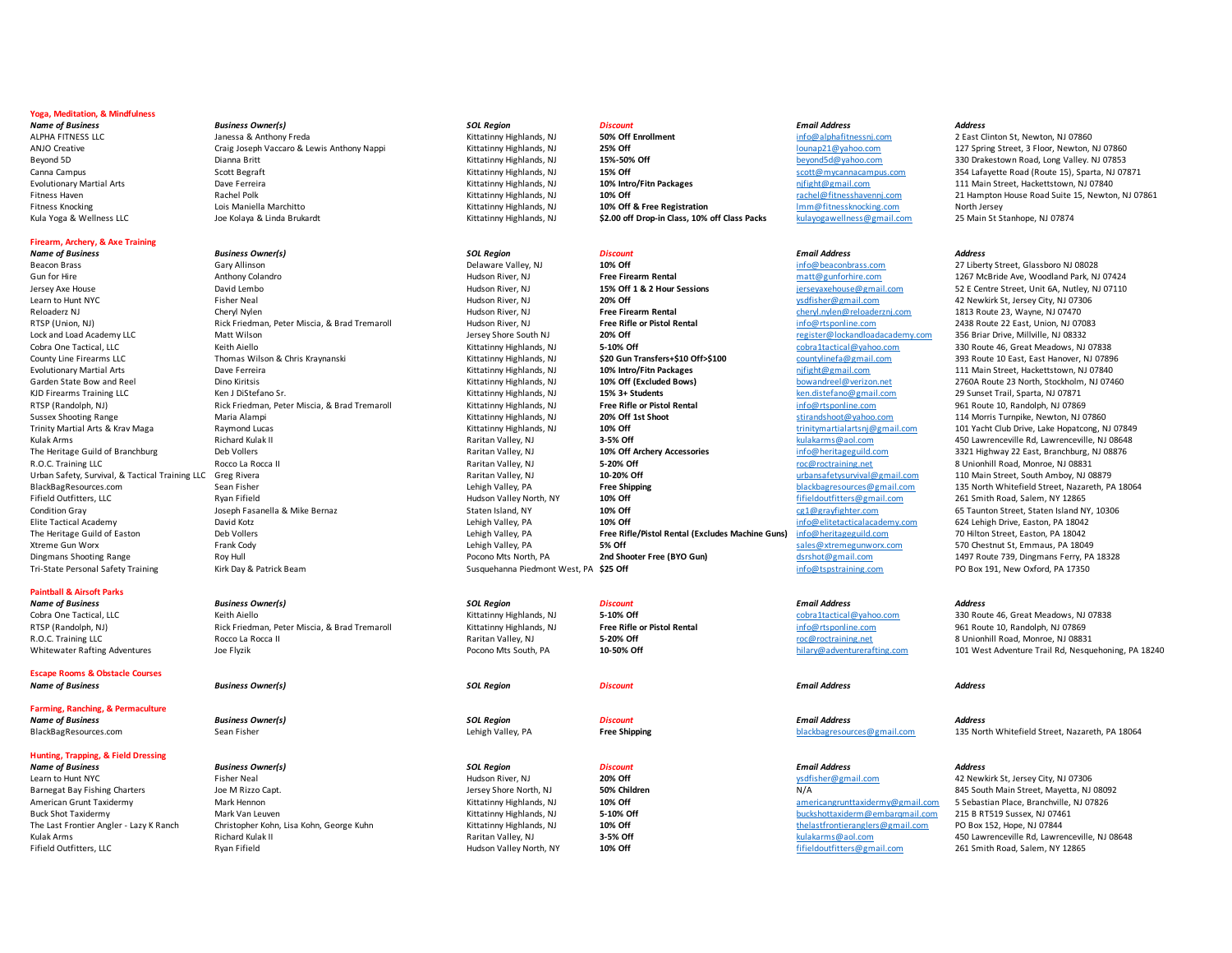# **Yoga, Meditation, & Mindfulness**

*Name of Business Business Owner(s) SOL Region Discount Email Address Address*

# **Firearm, Archery, & Axe Training**

# **Paintball & Airsoft Parks**

*Name of Business Business Owner(s) SOL Region Discount Email Address Address*

**Escape Rooms & Obstacle Courses** 

**Farming, Ranching, & Permaculture** 

# **Hunting, Trapping, & Field Dressing**

*Name of Business Business Owner(s) SOL Region Discount Email Address Address* Learn to Hunt NYC **Fisher Neal Fisher Neal Accord Property** Hudson River, NJ **20% Off 20% Off** ysdfisher@gmail.com 42 Newkirk St, Jersey City, NJ 07306

ALPHA FITNESS LLC **Subset Contains a Subset of Anti-Alphands** Kittatinny Highlands, NJ **50% Off Enrollment** info@alphafitnessni.com 2 East Clinton St, Newton, NJ 07860 ANJO Creative Craig Joseph Vaccaro & Lewis Anthony Nappi Kittatinny Highlands, NJ **25% Off** 25% Off contained and the cond of the cond of the magazing and the magazing Street, 3 Floor, Newton, NJ 07860<br>Bevond 5D and Brith Beyond 5D **Dianna Britt** Communications and the Muslim Muslim Highlands, NJ **15%-50% Off** beyond5d@yahoo.com 330 Drakestown Road, Long Valley. NJ 07853 Evolutionary Martial Arts **Dave Ferreira** Dave Perreira Music Dave and Music Martial Arts Dave Terreira Cittatinny Highlands, NJ 10% Intro/Fitn Packages music manufacture, manufacture, Hackettstown, NJ 07840<br>Primess Haven Fitness Knocking Lois Maniella Marchitto Kittatinny Highlands, NJ **10% Off & Free Registration** lmm@fitnessknocking.com North Jersey Kula Yoga & Wellness LLC **Stanhope, NJ 07874** Joe Kolaya & Linda Brukardt Martinny Highlands, NJ **\$2.00 off Drop-in Class, 10% off Class Packs** kulayogawellness@gmail.com 25 Main St Stanhope, NJ 07874

*Name of Business Business Owner(s) SOL Region Discount Email Address Address* Beacon Brass Gary Allinson Delaware Valley, NJ **10% Off and Carry Constant Delayare Valley, NJ 10% Off** info@beaconbrass.com 27 Liberty Street, Glassboro NJ 08028

- 
- 

Gun for Hire Anthony Colandro and Mudson River, NJ **Free Firearm Rental** matt@gunforhire.com and the Hudson River, NJ 1567 McBride Ave, Woodland Park, NJ 07424<br>Hudson River, NJ 07110 15% Off 1 & 2 Hour Sessions and Ensevax Jersey Axe House **David Lembo** David Lembo **David Lembo Multimedia Accord Participal Participal Participal Participal Participal Participal Participal Participal Participal Participal Participal Participal Participal Parti** Learn to Hunt NYC Fisher Neal Hudson River, NJ **20% Off** ysdfisher@gmail.com 42 Newkirk St, Jersey City, NJ 07306 Reloaderz NJ Cheryl Nylen Hudson River, NJ **Free Firearm Rental** cheryl.nylen@reloaderznj.com 1813 Route 23, Wayne, NJ 07470 RTSP (Union, NJ) Rick Friedman, Peter Miscia, & Brad Tremaroll Hudson River, NJ **Free Rifle or Pistol Rental** info@rtsponline.com 2438 Route 22 East, Union, NJ 07083 Lock and Load Academy LLC **Matt Wilson** Matt Wilson **Matt Wilson** Jersey Shore South NJ **20% Off 1988 Academy.com 356 Briar Drive, Millville, NJ 08332** Cobra One Tactical, LLC **Cobra Cobra Cobra Cobratactical**@yahoo.com 330 Route 46, Great Meadows, NJ 07838 County Line Firearms LLC **Thomas Wilson & Chris Kraynanski** Kittatinny Highlands, NJ **\$20 Gun Transfers+\$10 Off>\$100** countylinefa@gmail.com 393 Route 10 East, East Hanover, NJ 07896 Evolutionary Martial Arts **Martial Arts Dave Ferreira** 2004 2007 2009 Nittatinny Highlands, NJ 2006 Intro/Fitn Packages nd and priight@gmail.com 111 Main Street, Hackettstown, NJ 07840 Garden State Bow and Reel **Dino Kiritsis Chronic Constructs** Kittatinny Highlands, NJ **10% Off (Excluded Bows)** bowandreel@verizon.net 2760A Route 23 North, Stockholm, NJ 07460 KJD Firearms Training LLC **Ken J DiStefano Sr.** Kittatinny Highlands, NJ **15% 3+ Students** Ken.distefano@gmail.com 29 Sunset Trail, Sparta, NJ 07871 RTSP (Randolph, NJ) Rick Friedman, Peter Miscia, & Brad Tremaroll Kittatinny Highlands, NJ **Free Rifle or Pistol Rental** info@rtsponline.com 961 Route 10, Randolph, NJ 07869<br>Sussex Shooting Range 2014 Morris Turnoike. Newt Sussex Shooting Range **Maria Alampi** Maria Alampi Shoot Shoot Sussex Shoot Sussex Shoot Stirandshoot@yahoo.com and the Morris Turnpike, Newton, NJ 07860 Trinity Martial Arts & Krav Maga **Raymond Lucas** Kittating Kittatinny Highlands, NJ **10% Off** the magazing trinitymartialartsnj@gmail.com 101 Yacht Club Drive, Lake Hopatcong, NJ 07849 Kulak Arms Richard Kulak II Raritan Valley, NJ **3-5% Off** kulakarms@aol.com 450 Lawrenceville Rd, Lawrenceville, NJ 08648 The Heritage Guild of Branchburg Deb Vollers Deb Vollers Raritan Valley, NJ **10% Off Archery Accessories info@heritageguild.com** 3321 Highway 22 East, Branchburg, NJ 08876 R.O.C. Training LLC **Rocco La Rocca II** Raritan Valley, NJ **5-20% Off Raritan Valley, NJ 08831 Raritan Valley, NJ 08831 Raritan Valley, NJ 08831 5-20% Off 198831 CONFILM CONFILM ROAD RARITAN DISTUES AND ROCCO** Urban Safety, Survival, & Tactical Training LLC Greg Rivera **Naritan Valley and Safety and Amboy and Safety Amboy**<br>BlackBagResources.com 135 North Whitefield Street, Nazareth, P/ BlackBagResources.com Sean Fisher Sean Fisher Sean Fisher Lehigh Valley, PA **Free Shipping** Fifeld Duffiters@gmail.com 135 North Whitefield Street, Nazareth, PA 18064<br>The Street Street, Lehigh Valley Street Human Street Hu Fifield Outfitters, LLC Ryan Fifield Hudson Valley North, NY **10% Off** fifieldoutfitters@gmail.com 261 Smith Road, Salem, NY 12865 Condition Gray Staten Island, NY and Condition Gray Condition Gray Staten Island, NY and Staten Island, NY and David Care of the Care of the Care of the Care of the Care of the Care of the Care of the Care of the Care of t Elite Tactical Academy David Kotz **David Kotz** David Kotz and the Solution David Kota Lehigh Valley, PA Lehigh Valley, PA 10% Off and the Machine Com and the United Catalacademy.com 624 Lehigh Drive, Easton, PA 18042<br>The H The Heritage Guild of Easton Deb Vollers Lehigh Valley, PA **Free Rifle/Pistol Rental (Excludes Machine Guns)** info@heritageguild.com 70 Hilton Street, Easton, PA 18042 Xtreme Gun Worx **Frank Cody** Frank Cody **Lehigh Valley, PA** S<sup>56</sup> Off Sales Controller Stremegunworx.com 570 Chestnut St, Emmaus, PA 18049<br>Dingmans Shooting Range 2090, Dingmans Ferry, PA Shooted Procono Mts North. PA **2nd** Dingmans Shooting Range Roy Hull Pocono Mts North, PA **2nd Shooter Free (BYO Gun)** district and the ding and the ding and the ding of the ding to the ding of the ding of the ding of the ding to the ding to the ding to the Tri-State Personal Safety Training **Kirk Day & Patrick Beam** Susquehanna Piedmont West, PA **\$25 Off** info@tspstraining.com PO Box 191, New Oxford, PA 17350

*Name of Business Business Owner(s) SOL Region Discount Email Address Address*

Buck Shot Taxidermy Mark Van Leuven Mark Van Leuven **Kittatinny Highlands, NJ 5-10% Off** buckshottaxiderm@embargmail.com 215 Buckshottaxiderm@embargmail.com The Last Frontier Angler - Lazy K Ranch Christopher Kohn, Lisa Kohn, George Kuhn Kittatinny Highlands, NJ 10% Off the media and the the last frontieranglers@gmail.com PO Box 152, Hope, NJ 07844<br>Raritan Valley NJ 1976 1200 Fifield Outfitters, LLC Ryan Fifield Hudson Valley North, NY **10% Off** fifieldoutfitters@gmail.com 261 Smith Road, Salem, NY 12865

Canna Campus Scott Begraft Scott Begraft Scott Begraft Scott Begraft Scott Scott Righlands, NJ 07871 Studies and Campus Scott Campus.com 354 Lafayette Road (Route 15), Sparta, NJ 07871 Fitness Haven Rachel Polk Kittatinny Highlands, NJ **10% Off** rachel@fitnesshavennj.com 21 Hampton House Road Suite 15, Newton, NJ 07861

Cobra One Tactical, LLC **Cobra Cobra Cobra Cobra Cobratactical** Cobra Cobratactical Cobratactical, Cobra Cobratactical, Cobra Cobratactical, Cobra 2007 130 Route 46, Great Meadows, NJ 07838<br>1951 Route 10. Randolph. NJ 0786 RTSP (Randolph, NJ) Rick Friedman, Peter Miscia, & Brad Tremaroll Kittatinny Highlands, NJ **Free Rifle or Pistol Rental** info@rtsponline.com 961 Route 10, Randolph, NJ 07869 R.O.C. Training LLC **Rocco La Rocca II** Raritan Valley, NJ **5-20% Off roce** and the component and a Unionhill Road, Monroe, NJ 08831 Whitewater Rafting Adventures **100 Flyzik** Joe Flyzik Pocono Mts South, PA **10-50% Off** hilary@adventurerafting.com 101 West Adventure Trail Rd, Nesquehoning, PA 18240

BlackBagResources.com Sean Fisher Sean Fisher Sean Fisher Lehigh Valley, PA **Free Shipping Free Shipping** blackbagresources@gmail.com 135 North Whitefield Street, Nazareth, PA 18064

Barnegat Bay Fishing Charters **States Act Act 2018** Joe M Rizzo Capt. **Joe M Rizzo Capt.** Joe M Rizzo Capt. **Joe M Rizzo Capt.** 20092 American Grunt Taxidermy **American Crunt Taxidermy Mark Hennon** Mark Hennon Mark Hennon Mark Hennon Mark Hennon Mark Hennon Mark Hennon Mark Hennon Mark Hennon Mark Hennon Mark Hennon Mark Hennon Mark Hennon Mark Van Lewen Example Arms Arms Arms Arms Richard Kulak II Raritan Valley, NJ Raritan Valley, NJ Nudson Valley, NJ Nudson Valley North, NY 10% Off and the material of the material and the 450 Lawrenceville Rd, Lawrenceville, NJ 08648<br>Ar

# *Name of Business Business Owner(s) SOL Region Discount Email Address Address*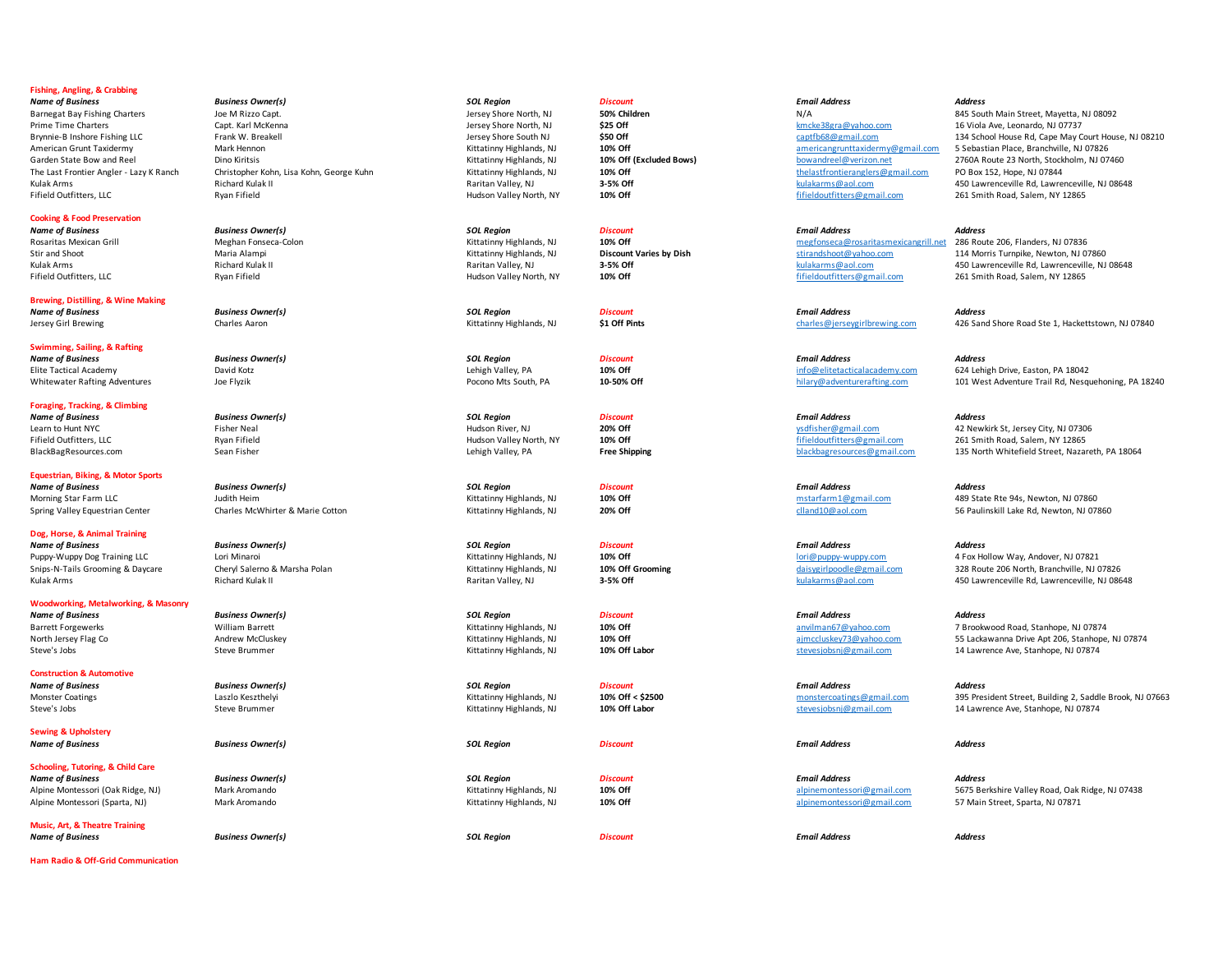# **Fishing, Angling, & Crabbing**

# **Cooking & Food Preservation**

**Brewing, Distilling, & Wine Making**  *Name of Business Business Owner(s) SOL Region Discount Email Address Address*

**Swimming, Sailing, & Rafting** 

**Foraging, Tracking, & Climbing** 

**Equestrian, Biking, & Motor Sports** 

**Dog, Horse, & Animal Training**  *Name of Business Business Owner(s) SOL Region Discount Email Address Address* Puppy-Wuppy Dog Training LLC Lori Minaroi Lori Minaroi Cori Minaroi Cori Minaroi Cori Minaroi Cori Minaroi Cori<br>10% Off Grooming Christen of Allen and Minaroi Cheryl Salemo & Marsha Polan Chan Hollow Way, Andover, NJ 07821 Snips-N-Tails Grooming & Daycare Cheryl Salerno & Marsha Polan Microoming Kittatinny Highlands, NJ 10% Off Grooming daisygirlpoodle@gmail.com 328 Route 206 North, Branchville, NJ 07826

**Woodworking, Metalworking, & Masonry** 

**Construction & Automotive** 

**Sewing & Upholstery** 

**Schooling, Tutoring, & Child Care**  *Name of Business Business Owner(s) SOL Region Discount Email Address Address*

**Music, Art, & Theatre Training** 

**Ham Radio & Off-Grid Communication** 

*Name of Business Business Owner(s) SOL Region Discount Email Address Address* Barnegat Bay Fishing Charters and Moneth, Allen Bay Fishing Charters Active Mayetta Charters and Desember 1980 Children<br>1982 Prime Time Charters Phylodia Ave. Leonardo. NJ 07737<br>Prime Time Charters and Children Capt. And N Prime Time Charters **Capt. Karl McKenna** Jersey Shore North, NJ **\$25 Off** Shore North, NJ Ave, Leonardo, NJ 07737 American Grunt Taxidermy **American Crunt Taxidermy Mark Hennon** Mark Hennon Mark Hennon Mark Hennon Mark Hennon Mark Hennon Sepasa Mark Hennon Mark Hennon Mark Hennon Mark Hennon Mark Hennon Mark Hennon Mark Hennon Kittati The Last Frontier Angler Angler - Last Frontier Angler - Last Frontierangler - Last Frontierangler - Last Frontierangler - Last Frontierangler - Last Frontierangler - Last Frontierangler - Last Frontierangler - Last Fronti

*Name of Business Business Owner(s) SOL Region Discount Email Address Address* Morning Star Farm LLC 1999 State Rte 94s, Newton, NJ 07860<br>
Morning Star Farm 1.07860<br>
Spring Valley Equestrian Center Charles McWhitter & Marie Cotton Marie Cotton Microsoft Microsoft Microsoft 20% Off Cland10@aol.com cla Spring Valley Equestrian Center Charles McWhirter & Marie Cotton Charles Cotton Kittatinny Highlands, NJ 07860 com Clland10@aol.com 56 Paulinskill Lake Rd, Newton, NJ 07860

Kulak Arms **Richard Kulak II** Raritan Valley, NJ **3-5% Off** and the substantian Valley, NJ **3-5% Off** and the substantian Valley, NJ 08648

Fifield Outfitters, LLC Ryan Fifield Hudson Valley North, NY **10% Off** fifieldoutfitters@gmail.com 261 Smith Road, Salem, NY 12865

*Name of Business Business Owner(s) SOL Region Discount Email Address Address*



*Name of Business Business Owner(s) SOL Region Discount Email Address Address*

*Name of Business Business Owner(s) SOL Region Discount Email Address Address*

*Name of Business Business Owner(s) SOL Region Discount Email Address Address*

*Name of Business Business Owner(s) SOL Region Discount Email Address Address* Barrett Forgewerks **Milliam Barrett** William Barrett Microsoft Microsoft Microsoft Microsoft Microsoft Microsoft anvilman67@yahoo.com 7 Brookwood Road, Stanhope, NJ 07874<br>North Jersey Flag Com 7 Stanhope, NJ 07874 (Kitatin North Jersey Flag Co **Andrew McCluskey Andrew McCluskey** and the Stanhope, NJ 07874 **Andrew McCluskey and Apply 2001** Steve's Jobs Steve Brummer Steve Brummer Steve Brummer Steve Brummer Stevesjobsnj@gmail.com 14 Lawrence Ave, Stanhope, NJ 07874

*Name of Business Business Owner(s) SOL Region Discount Email Address Address* Monster Coatings **Monster Coatings** Coatings Coatings (Assetted Monster Coatings Laszlo Kittatino Highlands, NJ 10% Off < \$2500 monstercoatings@gmail.com 395 President Street, Building 2, Saddle Brook, NJ 07663<br>Stree's Job Steve's Jobs Steve Brummer Steve Brummer Steve Brummer Steve Brummer Stevesjobsnj@gmail.com 14 Lawrence Ave, Stanhope, NJ 07874

Alpine Montessori (Oak Ridge, NJ) Mark Aromando and Mark Aromando and Mark Montessori (Oak Ridge, NJ 07438 Mark Aromando Kittatinny Highlands, NJ 10% Off and alpinemontessori@gmail.com 57 Main Street. Sparta. NJ 07871 Main Alpine Montessori (Sparta, NJ) Mark Aromando Mark Aromando and alpinemontessori@gmail.com 57 Main Street, Sparta, NJ 07871

Brynnie-B Inshore Fishing LLC Frank W. Breakell **Frank W. Breakell** Jersey Shore South NJ \$50 Off captfb68@gmail.com 134 School House Rd, Cape May Court House, NJ 08210 Garden State Bow and Reel **Dino Kiritsis** Dino Kiritsis Computer States (in the Mitatinny Highlands, NJ 10% Off (Excluded Bows) bowandreel@verizon.net 2760A Route 23 North, Stockholm, NJ 07460<br>The Last Frontier Angles Agen Kulak Arms Arms Arms Richard Kulak II Raritan Valley, NJ **3-5% Off** 3-5% Off and the magad of the secure and the secure and the secure and the secure and the secure and the secure and the secure and the secure Arms and the

Rosaritas Mexican Grill **1996 Meghan Fonseca-Colon** Meghan Fonseca-Colon Mexican Mexican Meghan The Meghan Fonseca-Colon Kittatinny Highlands, NJ 10% Off meghan Mexica Colon Mexicangrill.net 286 Route 206, Flanders, NJ 078 Stir and Shoot **Maria Alampi** Maria Alampi **Maria Alampi** Stirandshoot@yahoo.com 114 Morris Turnpike, Newton, NJ 07860 Kulak Arms Arms Arms Richard Kulak II Raritan Valley, NJ **3-5% Off** and the substantive Communication and the Mudson Valley November 2013 Arms Arms and the Mudson Valley November 2013 Arms Arms Arms Arms Arms Arms Arms Arm Fifield Outfitters, LLC Ryan Fifield Hudson Valley North, NY **10% Off** fifieldoutfitters@gmail.com 261 Smith Road, Salem, NY 12865

Jersey Girl Brewing Charles Aaron Charles Aaron Charles Charles And Charles Charles Charles Charles Charles Charles Charles Charles Charles Charles Charles Charles Charles Charles Charles Charles Charles Charles Charles Ch

Elite Tactical Academy David Kotz David Kotz **Lehigh Valley, PA** Lehigh Valley, PA 10% Off and the material of the material Academy.com 624 Lehigh Drive, Easton, PA 18042<br>
Pocono Mts South PA 10-50% Off 10-50% Off hilary@a Whitewater Rafting Adventures **100 Flyzik** Joe Flyzik Pocono Mts South, PA **10-50% Off** hilary@adventurerafting.com 101 West Adventure Trail Rd, Nesquehoning, PA 18240

Learn to Hunt NYC Fisher Neal Fisher Neal The Municipality of the Municipality of the Municipality of the Municipality of the Municipality of the Municipality of the Municipal Australia Provider National Control of the Mun Fifield Outfitters, LLC Ryan Fifield Hudson Valley North, NY **10% Off** fifieldoutfitters@gmail.com 261 Smith Road, Salem, NY 12865 BlackBagResources.com Sean Fisher Sean Fisher Sean Fisher Lehigh Valley, PA **Free Shipping Free Shipping** blackbagresources@gmail.com 135 North Whitefield Street, Nazareth, PA 18064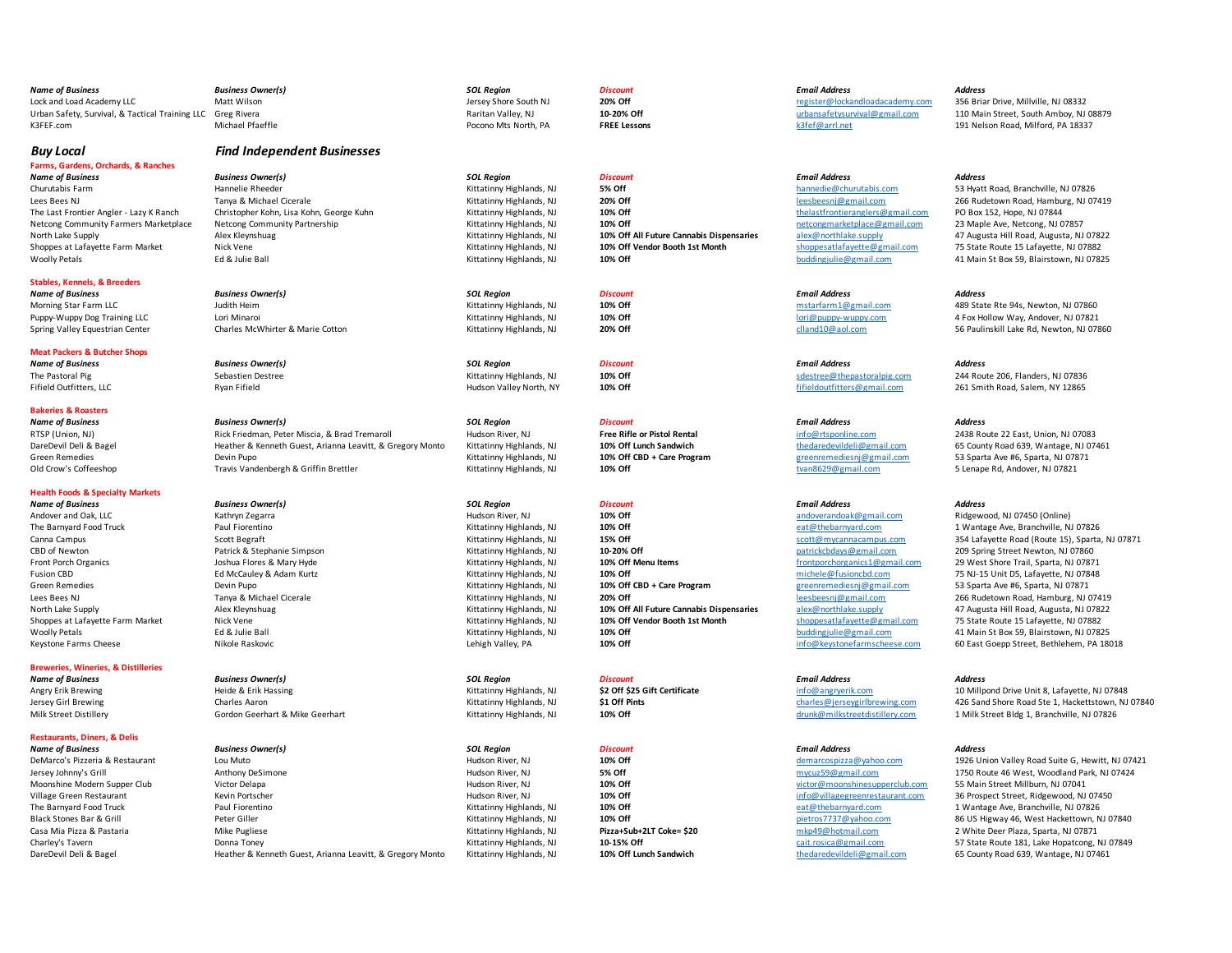| <b>Name of Business</b>                                     | <b>Business Owner(s)</b>                                  | <b>SOL Region</b>        | <b>Discount</b>                          | <b>Email Address</b>             | <b>Address</b>                                                                   |
|-------------------------------------------------------------|-----------------------------------------------------------|--------------------------|------------------------------------------|----------------------------------|----------------------------------------------------------------------------------|
| Lock and Load Academy LLC                                   | Matt Wilson                                               | Jersey Shore South NJ    | 20% Off                                  | register@lockandloadacademy.com  | 356 Briar Drive, Millville, NJ 08332                                             |
| Urban Safety, Survival, & Tactical Training LLC Greg Rivera |                                                           | Raritan Valley, NJ       | 10-20% Off                               | urbansafetysurvival@gmail.com    | 110 Main Street, South Amboy, NJ 08879                                           |
| K3FEF.com                                                   | Michael Pfaeffle                                          | Pocono Mts North, PA     | <b>FREE Lessons</b>                      | k3fef@arrl.net                   | 191 Nelson Road, Milford, PA 18337                                               |
|                                                             |                                                           |                          |                                          |                                  |                                                                                  |
| <b>Buy Local</b>                                            | <b>Find Independent Businesses</b>                        |                          |                                          |                                  |                                                                                  |
| Farms, Gardens, Orchards, & Ranches                         |                                                           |                          |                                          |                                  |                                                                                  |
| <b>Name of Business</b>                                     | <b>Business Owner(s)</b>                                  | <b>SOL Region</b>        | <b>Discount</b>                          | <b>Email Address</b>             | <b>Address</b>                                                                   |
| Churutabis Farm                                             | Hannelie Rheeder                                          | Kittatinny Highlands, NJ | <b>5% Off</b>                            | hannedie@churutabis.com          | 53 Hyatt Road, Branchville, NJ 07826                                             |
| Lees Bees NJ                                                | Tanya & Michael Cicerale                                  | Kittatinny Highlands, NJ | 20% Off                                  | leesbeesni@gmail.com             | 266 Rudetown Road, Hamburg, NJ 07419                                             |
| The Last Frontier Angler - Lazy K Ranch                     | Christopher Kohn, Lisa Kohn, George Kuhn                  | Kittatinny Highlands, NJ | 10% Off                                  | thelastfrontieranglers@gmail.com | PO Box 152, Hope, NJ 07844                                                       |
| Netcong Community Farmers Marketplace                       | Netcong Community Partnership                             | Kittatinny Highlands, NJ | 10% Off                                  | netcongmarketplace@gmail.com     | 23 Maple Ave, Netcong, NJ 07857                                                  |
|                                                             |                                                           |                          | 10% Off All Future Cannabis Dispensaries | alex@northlake.supply            |                                                                                  |
| North Lake Supply                                           | Alex Kleynshuag                                           | Kittatinny Highlands, NJ | 10% Off Vendor Booth 1st Month           | shoppesatlafayette@gmail.com     | 47 Augusta Hill Road, Augusta, NJ 07822                                          |
| Shoppes at Lafayette Farm Market<br><b>Woolly Petals</b>    | Nick Vene<br>Ed & Julie Ball                              | Kittatinny Highlands, NJ | 10% Off                                  | buddingjulie@gmail.com           | 75 State Route 15 Lafayette, NJ 07882<br>41 Main St Box 59, Blairstown, NJ 07825 |
|                                                             |                                                           | Kittatinny Highlands, NJ |                                          |                                  |                                                                                  |
| <b>Stables, Kennels, &amp; Breeders</b>                     |                                                           |                          |                                          |                                  |                                                                                  |
| <b>Name of Business</b>                                     | <b>Business Owner(s)</b>                                  | <b>SOL Region</b>        | <b>Discount</b>                          | <b>Email Address</b>             | <b>Address</b>                                                                   |
| Morning Star Farm LLC                                       | Judith Heim                                               | Kittatinny Highlands, NJ | 10% Off                                  | mstarfarm1@gmail.com             | 489 State Rte 94s, Newton, NJ 07860                                              |
| Puppy-Wuppy Dog Training LLC                                | Lori Minaroi                                              | Kittatinny Highlands, NJ | 10% Off                                  | lori@puppy-wuppy.com             | 4 Fox Hollow Way, Andover, NJ 07821                                              |
| Spring Valley Equestrian Center                             | Charles McWhirter & Marie Cotton                          | Kittatinny Highlands, NJ | 20% Off                                  | clland10@aol.com                 | 56 Paulinskill Lake Rd, Newton, NJ 07860                                         |
|                                                             |                                                           |                          |                                          |                                  |                                                                                  |
| <b>Meat Packers &amp; Butcher Shops</b>                     |                                                           |                          |                                          |                                  |                                                                                  |
| <b>Name of Business</b>                                     | <b>Business Owner(s)</b>                                  | <b>SOL Region</b>        | <b>Discount</b>                          | <b>Email Address</b>             | <b>Address</b>                                                                   |
| The Pastoral Pig                                            | Sebastien Destree                                         | Kittatinny Highlands, NJ | 10% Off                                  | sdestree@thepastoralpig.com      | 244 Route 206, Flanders, NJ 07836                                                |
| Fifield Outfitters, LLC                                     | Ryan Fifield                                              | Hudson Valley North, NY  | 10% Off                                  | fifieldoutfitters@gmail.com      | 261 Smith Road, Salem, NY 12865                                                  |
|                                                             |                                                           |                          |                                          |                                  |                                                                                  |
| <b>Bakeries &amp; Roasters</b>                              |                                                           |                          |                                          |                                  |                                                                                  |
| <b>Name of Business</b>                                     | <b>Business Owner(s)</b>                                  | <b>SOL Region</b>        | <b>Discount</b>                          | <b>Email Address</b>             | <b>Address</b>                                                                   |
| RTSP (Union, NJ)                                            | Rick Friedman, Peter Miscia, & Brad Tremaroll             | Hudson River, NJ         | <b>Free Rifle or Pistol Rental</b>       | info@rtsponline.com              | 2438 Route 22 East, Union, NJ 07083                                              |
| DareDevil Deli & Bagel                                      | Heather & Kenneth Guest, Arianna Leavitt, & Gregory Monto | Kittatinny Highlands, NJ | 10% Off Lunch Sandwich                   | thedaredevildeli@gmail.com       | 65 County Road 639, Wantage, NJ 07461                                            |
| <b>Green Remedies</b>                                       | Devin Pupo                                                | Kittatinny Highlands, NJ | 10% Off CBD + Care Program               | greenremediesni@gmail.com        | 53 Sparta Ave #6, Sparta, NJ 07871                                               |
| Old Crow's Coffeeshop                                       | Travis Vandenbergh & Griffin Brettler                     | Kittatinny Highlands, NJ | 10% Off                                  | tvan8629@gmail.com               | 5 Lenape Rd, Andover, NJ 07821                                                   |
|                                                             |                                                           |                          |                                          |                                  |                                                                                  |
| <b>Health Foods &amp; Specialty Markets</b>                 |                                                           |                          |                                          |                                  |                                                                                  |
| <b>Name of Business</b>                                     | <b>Business Owner(s)</b>                                  | <b>SOL Region</b>        | <b>Discount</b>                          | <b>Email Address</b>             | <b>Address</b>                                                                   |
| Andover and Oak, LLC                                        | Kathryn Zegarra                                           | Hudson River, NJ         | 10% Off                                  | andoverandoak@gmail.com          | Ridgewood, NJ 07450 (Online)                                                     |
| The Barnyard Food Truck                                     | Paul Fiorentino                                           | Kittatinny Highlands, NJ | 10% Off                                  | eat@thebarnyard.com              | 1 Wantage Ave, Branchville, NJ 07826                                             |
| Canna Campus                                                | Scott Begraft                                             | Kittatinny Highlands, NJ | 15% Off                                  | scott@mycannacampus.com          | 354 Lafayette Road (Route 15), Sparta, NJ 07871                                  |
| CBD of Newton                                               | Patrick & Stephanie Simpson                               | Kittatinny Highlands, NJ | 10-20% Off                               | patrickcbdays@gmail.com          | 209 Spring Street Newton, NJ 07860                                               |
| <b>Front Porch Organics</b>                                 | Joshua Flores & Mary Hyde                                 | Kittatinny Highlands, NJ | 10% Off Menu Items                       | frontporchorganics1@gmail.com    | 29 West Shore Trail, Sparta, NJ 07871                                            |
| Fusion CBD                                                  | Ed McCauley & Adam Kurtz                                  | Kittatinny Highlands, NJ | 10% Off                                  | michele@fusioncbd.com            | 75 NJ-15 Unit D5, Lafayette, NJ 07848                                            |
| <b>Green Remedies</b>                                       | Devin Pupo                                                | Kittatinny Highlands, NJ | 10% Off CBD + Care Program               | greenremediesni@gmail.com        | 53 Sparta Ave #6, Sparta, NJ 07871                                               |
| Lees Bees NJ                                                | Tanya & Michael Cicerale                                  | Kittatinny Highlands, NJ | 20% Off                                  | leesbeesni@gmail.com             | 266 Rudetown Road, Hamburg, NJ 07419                                             |
| North Lake Supply                                           | Alex Kleynshuag                                           | Kittatinny Highlands, NJ | 10% Off All Future Cannabis Dispensaries | alex@northlake.supply            | 47 Augusta Hill Road, Augusta, NJ 07822                                          |
| Shoppes at Lafayette Farm Market                            | Nick Vene                                                 | Kittatinny Highlands, NJ | 10% Off Vendor Booth 1st Month           | shoppesatlafayette@gmail.com     | 75 State Route 15 Lafayette, NJ 07882                                            |
| <b>Woolly Petals</b>                                        | Ed & Julie Ball                                           | Kittatinny Highlands, NJ | 10% Off                                  | buddingjulie@gmail.com           | 41 Main St Box 59, Blairstown, NJ 07825                                          |
| Keystone Farms Cheese                                       | Nikole Raskovic                                           | Lehigh Valley, PA        | 10% Off                                  | info@keystonefarmscheese.com     | 60 East Goepp Street, Bethlehem, PA 18018                                        |
| <b>Breweries, Wineries, &amp; Distilleries</b>              |                                                           |                          |                                          |                                  |                                                                                  |
| <b>Name of Business</b>                                     | <b>Business Owner(s)</b>                                  | <b>SOL Region</b>        | <b>Discount</b>                          | <b>Email Address</b>             | <b>Address</b>                                                                   |
| Angry Erik Brewing                                          | Heide & Erik Hassing                                      | Kittatinny Highlands, NJ | \$2 Off \$25 Gift Certificate            | info@angrverik.com               | 10 Millpond Drive Unit 8, Lafayette, NJ 07848                                    |
| Jersey Girl Brewing                                         | Charles Aaron                                             | Kittatinny Highlands, NJ | \$1 Off Pints                            | charles@jerseygirlbrewing.com    | 426 Sand Shore Road Ste 1, Hackettstown, NJ 07840                                |
| Milk Street Distillery                                      | Gordon Geerhart & Mike Geerhart                           | Kittatinny Highlands, NJ | 10% Off                                  | drunk@milkstreetdistillery.com   | 1 Milk Street Bldg 1, Branchville, NJ 07826                                      |
|                                                             |                                                           |                          |                                          |                                  |                                                                                  |
| <b>Restaurants, Diners, &amp; Delis</b>                     |                                                           |                          |                                          |                                  |                                                                                  |
| <b>Name of Business</b>                                     | <b>Business Owner(s)</b>                                  | <b>SOL Region</b>        | <b>Discount</b>                          | <b>Email Address</b>             | <b>Address</b>                                                                   |
| DeMarco's Pizzeria & Restaurant                             | Lou Muto                                                  | Hudson River, NJ         | 10% Off                                  | demarcospizza@yahoo.com          | 1926 Union Valley Road Suite G, Hewitt, NJ 07421                                 |
| Jersey Johnny's Grill                                       | Anthony DeSimone                                          | Hudson River, NJ         | 5% Off                                   | mycuz59@gmail.com                | 1750 Route 46 West, Woodland Park, NJ 07424                                      |
| Moonshine Modern Supper Club                                | Victor Delapa                                             | Hudson River, NJ         | 10% Off                                  | victor@moonshinesupperclub.com   | 55 Main Street Millburn, NJ 07041                                                |
| Village Green Restaurant                                    | Kevin Portscher                                           | Hudson River, NJ         | 10% Off                                  | info@villagegreenrestaurant.com  | 36 Prospect Street, Ridgewood, NJ 07450                                          |
| The Barnyard Food Truck                                     | Paul Fiorentino                                           | Kittatinny Highlands, NJ | 10% Off                                  | eat@thebarnyard.com              | 1 Wantage Ave, Branchville, NJ 07826                                             |
| Black Stones Bar & Grill                                    | Peter Giller                                              | Kittatinny Highlands, NJ | 10% Off                                  | pietros7737@yahoo.com            | 86 US Higway 46, West Hackettown, NJ 07840                                       |
| Casa Mia Pizza & Pastaria                                   | Mike Pugliese                                             | Kittatinny Highlands, NJ | Pizza+Sub+2LT Coke= \$20                 | mkp49@hotmail.com                | 2 White Deer Plaza, Sparta, NJ 07871                                             |
| Charley's Tavern                                            | Donna Toney                                               | Kittatinny Highlands, NJ | 10-15% Off                               | cait.rosica@gmail.com            | 57 State Route 181, Lake Hopatcong, NJ 07849                                     |
| DareDevil Deli & Bagel                                      | Heather & Kenneth Guest, Arianna Leavitt, & Gregory Monto | Kittatinny Highlands, NJ | 10% Off Lunch Sandwich                   | thedaredevildeli@gmail.com       | 65 County Road 639, Wantage, NJ 07461                                            |
|                                                             |                                                           |                          |                                          |                                  |                                                                                  |
|                                                             |                                                           |                          |                                          |                                  |                                                                                  |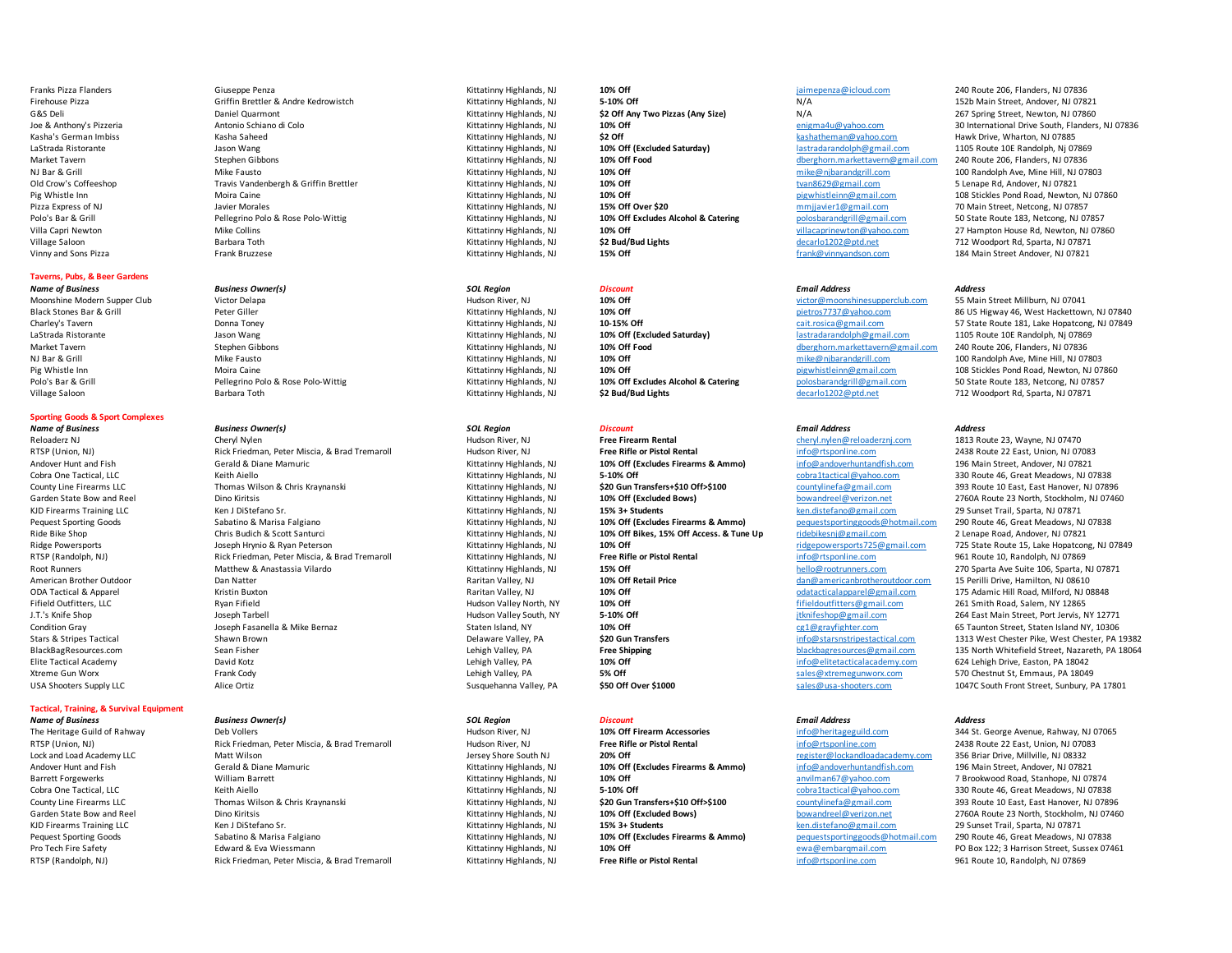# **Taverns, Pubs, & Beer Gardens**

# **Sporting Goods & Sport Complexes**

*Name of Business Business Owner(s) SOL Region Discount Email Address Address*

# **Tactical, Training, & Survival Equipment**

*Name of Business Business Owner(s) SOL Region Discount Email Address Address*

*Name of Business Business Owner(s) SOL Region Discount Email Address Address*

Reloaderz NJ Cheryl Nylen (Cheryl Nylen Pree Firearm Rental Free Firearm Rental Pree Firearm Rental cheryl.nylen@reloaderznj.com 1813 Route 23, Wayne, NJ 07470<br>RTSP (Union, NJ) Rick Friedman, Peter Miscia. & Brad Tremaroll RTSP (Union, NJ) **Right Friedman, Peter Miscia, & Brad Tremaroll Free Hudson River, NJ Free Right** Right River, NJ 0838 Route 22 East, Pistol River, NJ 07083 Route 22 East, Union, NJ 07083 Route 22 East, Union, NJ 0708 Andover Hunt and Fish Gerald & Diane Mamuric and Mamuric Kittatinny Highlands, NJ 10% Off (Excludes Firearms & Ammo) and and info@andoverhuntandfish.com 196 Main Street, Andover, NJ 07821<br>Cobra One Tactical. LLC Characters Cobra One Tactical, LLC **Cobra Cobra Cobra Cobratactical** Copractical Corrective Cobratactical, Copractical, Copractical, Copractical, Copractical, Copractical, Copractical, Copractical, Copractical, Copractical, Copractic County Line Firearms LLC **County Line County Thomas Wilson & Chris Kraynanski** Multimus and the Multimus And Multimus And Multimus And Multimus And Multimus And Multimus And Multimus And Multimus And Multimus And Multimus Garden State Bow and Reel **State Bow and Reel Dino Kiritsis** Dino Kiritsis Communication Dino Kittatinny Highlands, NJ 10% Off (Excluded Bows) bowandreel@verizon.net 23 North, Stockholm, NJ 07460<br>
Kittatinny Highlands, NJ KJD Firearms Training LLC **Ken J DiStefano Sr.** Kittatinny Highlands, NJ **15% 3+ Students** Ken.distefano@gmail.com 29 Sunset Trail, Sparta, NJ 07871 Pequest Sporting Goods Sabatino & Marisa Falgiano Marisa Falgiano Kittatinny Highlands, NJ 10% Off (Excludes Firearms & Ammo) pequest sporting goods **@hotmail.com 290 Route 46, Great Meadows**, NJ 07838<br>Ride Bike Shop 2 Len Ride Bike Shop Chris Budich & Scott Santurci Christen Christen Christene Chris Budich & Scott Santurci Chris Chris Budich & Scott Santurci Chris Chris Budich & Scott Santurci Chris Chris Chris Budich & Scott Santurci Chris Ridge Powersports **1998** Hrynio & Ryan Peterson Rivan Peterson Kittatinny Highlands, NJ **10% Off** ridge powersports and the mail.com 725 State Route 15, Lake Hopatcong, NJ 07849<br>RISP (Randoloh, NJ) Rick Friedman, Peter Mis RTSP (Randolph, NJ) Rick Friedman, Peter Miscia, & Brad Tremaroll Kittatinny Highlands, NJ **Free Rifle or Pistol Rental** info@rtsponline.com 961 Route 10, Randolph, NJ 07869 Root Runners **Matthew & Anastassia Vilardo** Matthew **Matthew & Anastassia Vilardo** Matthew **Matthew & Anastassia Vilardo** Matthew **Matthew & Anastassia Vilardo** Matthew **Matthew & Anastassia Vilardo Matthew 200 States Ave** American Brother Outdoor **American Dan Natter Matter Dan Natter Raritan Valley, NJ** 10% Off Retail Price **Dan American Disk of American Disk Conferent Conferent Conferent Conferent Conferent Conferent Matter Development OD** ODA Tactical & Apparel Kristin Buxton Raritan Valley, NJ **10% Off** odatacticalapparel@gmail.com 175 Adamic Hill Road, Milford, NJ 08848 Fifield Outfitters, LLC Ryan Fifield Hudson Valley North, NY **10% Off** fifieldoutfitters@gmail.com 261 Smith Road, Salem, NY 12865 J.T.'s Knife Shop **Shop Shop May are a Shop Joseph Tarbell** Joseph Tarbell Joseph Tarbell Joseph Tarbell Joseph Tarbell Allies Bernaz Staten Island, NY **5-10% Off** 5-10% Off and the state of the state of the state of the s Condition Gray **Staten Island, Development Area** Staten Island, NY **10% Off** cg1@grayfighter.com 65 Taunton Street, Staten Island NY, 10306 Elite Tactical Academy **David Kotz** David Kotz **Channel Community Construction David Kotz** Lehigh Valley, PA 18042 Xtreme Gun Worx **Frank Cody Lehigh Valley, PA 5% Off** 570 Chestnut St, Emmaus, PA 18049 USA Shooters Supply LLC **Susquehanna Valley, PA** Susquehanna Valley, PA \$50 Off Over \$1000 sales@usa-shooters.com 1047C South Front Street, Sunbury, PA 17801

The Heritage Guild of Rahway **Deb Vollers** Deb Vollers **Hudson River, NJ** Hudson River, NJ **10% Off Firearm Accessories** info@heritageguild.com 344 St. George Avenue, Rahway, NJ 07065 RTSP (Union, NJ) Rick Friedman, Peter Miscia, & Brad Tremaroll Hudson River, NJ **Free Rifle or Pistol Rental** info@rtsponline.com 2438 Route 22 East, Union, NJ 07083 Lock and Load Academy LLC **1986 Matt Wilson Matt Wilson Matt Wilson** Jersey Shore South NJ **20% Off** 1988 Matt Drive, Millville, NJ 08332<br>Andover Hunt and Fish Andre Andover. NJ 0782: The State of Term of Account Account A Andover Hunt and Fish Gerald & Diane Mamuric **Kittatinny Highlands, NJ 10% Off (Excludes Firearms & Ammo)** info@andoverhuntandfish.com 196 Main Street, Andover, NJ 07821 Barrett Forgewerks **William Barrett** William Barrett Music Music Music Music Kittatinny Highlands, NJ 10% Off anvilled anvilman67@yahoo.com 7 Brookwood Road, Stanhope, NJ 07874 Cobra One Tactical, LLC **Cobra Cobra Cobratactical** Cobratactical Cobratactical Cobratactical Cobrantactical Cobratactical Cobrantactical Cobrantactical Cobra Cobrantactical Cobra Cobratactical Cobrantactical Cobrantactica County Line Firearms LLC **County Line County County Thomas Wilson & Chris Kraynanski Chris Kraynanski Kittatinny Highlands, NJ <b>\$20 Gun Transfers+\$10 Off>\$100** countylinefa@gmail.com 393 Route 10 East, East Hanover, NJ 078 KJD Firearms Training LLC Ken J DiStefano Sr. Kittatinny Highlands, NJ **15% 3+ Students** ken.distefano@gmail.com 29 Sunset Trail, Sparta, NJ 07871 Pequest Sporting Goods Sabatino & Marisa Falgiano Marisa Falgiano Kittatinny Highlands, NJ 10% Off (Excludes Firearms & Ammo) pequest sporting goods mail.com 290 Route 46, Great Meadows, NJ 07838<br>Pro Tech Fire Safety PD Bo Pro Tech Fire Safety **Edward & Example School Edward & Eva Wiessmann** Wittatinny Highlands, NJ **10% Off** examples and ewa@embargmail.com PO Box 122; 3 Harrison Street, Sussex 07461 RTSP (Randolph, NJ) Rick Friedman, Peter Miscia, & Brad Tremaroll Kittatinny Highlands, NJ **Free Rifle or Pistol Rental** info@rtsponline.com 961 Route 10, Randolph, NJ 07869

Franks Pizza Flanders Simple 206, Flanders, NJ 07836 Citationy Highlands, NJ **10% Off** 2001 Com 240 Route 206, Flanders, NJ 07836 Firehouse Pizza **Griffin Brettler & Andre Kedrowistch** Kittatinny Highlands, NJ **5-10% Off** NJ 07821 N/A 152b Main Street, Andover, NJ 07821 G&S Deli Daniel Quarmont Daniel Quarmont Colo and Colo and Colo and Colo and Colo and Colo and Colo and Colo and Mittatinny Highlands, NJ **\$2 Off Any Two Pizzas (Any Size)** N/A 267 Spring Street, Newton, NJ 07860<br>
Stateboo Kasha Saheed **Kittatinny Highlands, NJ** \$2 Off **Kittatinny Highlands, NJ** \$2 Off **Kashatheman@yahoo.com** Hawk Drive, Wharton, NJ 07885 LaStrada Ristorante **19 12 105 Route 10E Randolph, Nj 07869** Mittatinny Highlands, NJ **10% Off (Excluded Saturday)** lastradarandolph@gmail.com 1105 Route 10E Randolph, Nj 07869 Market Tavern Stephen Gibbons Stephen Gibbons Stephen Gibbons Stephen Gibbons Stephen Stephen Stephen Gibbons Stephen Gibbons Stephen Democration and Market avernomented and the angle of the Control of the Market Aven Demo NJ Bar & Grill Mike Fausto Kittatinny Highlands, NJ **10% Off** mike@njbarandgrill.com 100 Randolph Ave, Mine Hill, NJ 07803 Old Crow's Coffeeshop **Travis Vandenbergh & Griffin Brettler** Kittatinny Highlands, NJ 10% Off the most of twan8629@gmail.com 5 Lenape Rd, Andover, NJ 07821<br>Pig Whistle Inn and The Molta Calle Molta Calle Newton Members, N Pizza Express of NJ Javier Morales Music Morales All Organization of the Morales Kittatinny Highlands, NJ 07857 Main Street, Netcong, NJ 07857 Main Street, Netcong, NJ 07857 Village Saloon **Barbara Toth Consumer Saloon Barbara Toth Consumer Saloon Barbara Toth Consumer States (NJ 07871** Vinny and Sons Pizza **Frank Bruzzese** Frank Bruzzese **Frank Bruzzese** Kittatinny Highlands, NJ **15% Off Frank Andover, NJ 07821 Frank Andover, NJ 07821** 

Moonshine Modern Supper Club Victor Delapa Motor Physics and Motor Publishers, NJ Hudson River, NJ 076 0ff victor Millburn, NJ 07041 LaStrada Ristorante **1105 Route 10E Randolph, Nj 07869** Mittatinny Highlands, NJ **10% Off (Excluded Saturday)** lastradarandolph@gmail.com 1105 Route 10E Randolph, Nj 07869 Market Tavern Stephen Gibbons Stephen Gibbons Stephen Gibbons Stephen Gibbons Stephen Stephen Stephen Gibbons Stephen Gibbons Stephen Democration and Market avernomented and the angle of the Control of the Market Aven Demo Village Saloon **Barbara Toth** Barbara Toth **Barbara Toth Markara And Lights** Muslem Markara Markara Markara Markara Markara Markara Markara Markara Markara Markara Markara Markara Markara Markara Markara Markara Markara Ma

# Joe & Anthony's Pizzeria **Manufation and Antonio Schiano di Colo** Colo Manufation Highlands, NJ 10% Off and the South Antonio Schiano Highlands, NJ 10% Off environment and the South, Flanders, NJ 07836<br>Kasha's German Imbis Pig Whistle Inn Moira Caine Moira Caine **Moira Caine Accord Pigmail.com** 10% Off **pigmailled and Road Accord Moira Caine** Accord Moira Caine Road, Newton, NJ 07860 Polo's Bar & Grill **Pellegrino Polo & Rose Polo-Wittig** March 2008 (State Kittatinny Highlands, NJ 2006 Off Excludes Alcohol & Catering polosbarandgrill@gmail.com 50 State Route 183, Netcong, NJ 07857 Villa Capri Newton **Mike Collins** Mike Collins and Mike Collins and Mike Collins and Mike Collins and Mike Collins and Mike Collins and Mike The Mike Collins and Mike Collins and Mike Collins and Mike Collins and Mike Coll

Black Stones Bar & Grill **Examples Access Peter Giller** Peter Giller Material Peter Stiller (Pater and the Material Peter Stiller Access Peter Stiller Access Peter Stiller and Development of the Material Peter Stiller (Pat Charley's Tavern **Extilem Charles Charles Charles Charles Connect Charles Charles Connect Charles Connect Charles Charles Cait Andrey's Tavern and Same State Route 181, Lake Hopatcong, NJ 07849<br>
LaStrada Ristorante <b>Marcha** NJ Bar & Grill **Mike Fausto** Mike Fausto and Mike The Mike The Mike The Mike And The Mike And The Mike And Mike And Mike And Mike And Mike And Mike And Mike And Mike And Mike And Mike And Mike And Mike And Mike And Mike An Pig Whistle Inn Moira Caine Moira Caine and Moira Caine and Moira Care Moira Cath Moira Caine Moira Caine and Moira Caine and Moira Caine and Moira Caine and Moira Caine and Moira Caine and Moira Caine and Moira Caine and Polo's Bar & Grill Pellegrino Polo & Rose Polo-Wittig Martia Highlands, NJ 10% Off Excludes Alcohol & Catering polosbarandgrill@gmail.com 50 State Route 183, Netcong, NJ 07857<br>All David Bar Barbara Toth Barbara Toth Barbar

Stars & Stripes Tactical **Shawn Brown** Shawn Brown Delaware Valley, PA **\$20 Gun Transfers** info@starsnstripestactical.com 1313 West Chester Pike, West Chester, PA 19382 BlackBagResources.com Sean Fisher Sean Fisher Sean Fisher Lehigh Valley, PA **Free Shipping Free Shipping** blackbagresources@gmail.com 135 North Whitefield Street, Nazareth, PA 18064

Garden State Bow and Reel Dino Kiritsis Kittatinny Highlands, NJ **10% Off (Excluded Bows)** bowandreel@verizon.net 2760A Route 23 North, Stockholm, NJ 07460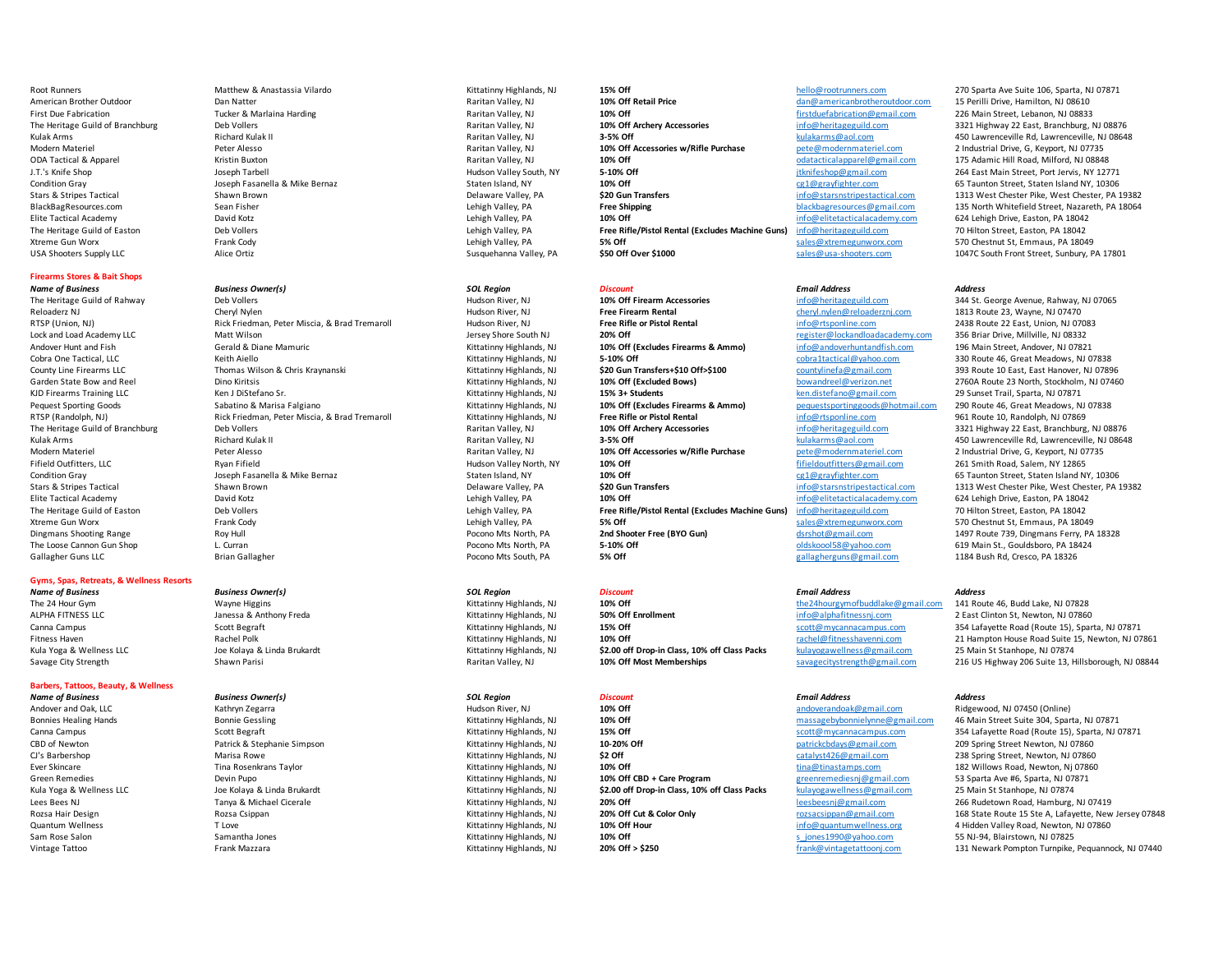# **Firearms Stores & Bait Shops**

# **Gyms, Spas, Retreats, & Wellness Resorts**

# **Barbers, Tattoos, Beauty, & Wellness**

- *Name of Business Business Owner(s) SOL Region Discount Email Address Address* The Heritage Guild of Rahway **Deb Vollers** Deb Vollers **Hudson River, NJ** Hudson River, NJ 10% Off Firearm Accessories info@heritageguild.com 344 St. George Avenue, Rahway, NJ 07065 Reloaderz NJ Cheryl Nylen Hudson River, NJ **Free Firearm Rental** cheryl.nylen@reloaderznj.com 1813 Route 23, Wayne, NJ 07470 RTSP (Union, NJ) Rick Friedman, Peter Miscia, & Brad Tremaroll Hudson River, NJ **Free Rifle or Pistol Rental** info@rtsponline.com 2438 Route 22 East, Union, NJ 07083 Lock and Load Academy LLC **Matt Wilson** Matt Wilson **Matt Wilson** Jersey Shore South NJ **20% Off register@lockandloadacademy.com** 356 Briar Drive, Millville, NJ 08332 Andover Hunt and Fish Gerald & Diane Mamuric and Mamuric Kittatinny Highlands, NJ 10% Off (Excludes Firearms & Ammo) and and info@andoverhuntandfish.com 196 Main Street, Andover, NJ 07821<br>Cobra One Tactical. LLC Characters Cobra One Tactical, LLC **Cobra Cobra Cobratactical** Cobratactical Cobratactical Cobratactical Cobrantactical Cobratactical Cobrantactical Cobrantactical Cobra Cobrantactical Cobra Cobratactical Cobrantactical Cobrantactica County Line Firearms LLC **Thomas Wilson & Chris Kraynanski** Kittatinny Highlands, NJ \$20 Gun Transfers+\$10 Off>\$100 countylinefa@gmail.com 393 Route 10 East, East Hanover, NJ 07896 Garden State Bow and Reel **Dino Kiritsis Chronic Constructs** Kittatinny Highlands, NJ **10% Off (Excluded Bows)** bowandreel@verizon.net 2760A Route 23 North, Stockholm, NJ 07460 KJD Firearms Training LLC **Ken J DiStefano Sr.** Manual Sparta, NJ Manual And Richards, NJ Manual And Richards, NJ 07871 **15% 3+ Students** ken.distefano@gmail.com 29 Sunset Trail, Sparta, NJ 07871 Pequest Sporting Goods Sabatino & Marisa Falgiano Kittatinny Highlands, NJ **10% Off (Excludes Firearms & Ammo)** pequest sporting goods and the algo Route 46, Great Meadows, NJ 07838<br>Part of Randolph, NJ 07869 Route 10, Ran RTSP (Randolph, NJ) Rick Friedman, Peter Miscia, & Brad Tremaroll Kittatinny Highlands, NJ **Free Rifle or Pistol Rental** info@rtsponline.com 961 Route 10, Randolph, NJ 07869 The Heritage Guild of Branchburg Deb Vollers Deb Vollers **Narritan Valley, NJ 10% Off Archery Accessories info@heritageguild.com** 3321 Highway 22 East, Branchburg, NJ 08876 Example Arms Arms Arms Arms Richard Kulak II Raritan Valley, NJ Raritan Valley, NJ Nulakarms and the Municipal Com and the Municipal Arms and the Municipal Arms and the Municipal Arms and the Arms and the Arms and the Arms Fifield Outfitters, LLC **Fifther Counting the Counting Counting Properties** Hudson Valley North, NY 10% Off and the mail outfitters@gmail.com 261 Smith Road, Salem, NY 12865<br>19% On Discussion Counting the Salem, NY 10% Off Condition Gray Toseph Fasanella & Mike Bernaz Staten Island, NY **10% Off** candition Condition Gray of the Staten Island NY, 10306<br>State Staten Island, NY Character and Condition Condition Condition Condition States of the Stars & Stripes Tactical Shawn Brown Shawn Brown Delaware Valley, PA Samura Chester, PA Stars Stars and Stars and Delaware Valley, PA Selection of the Starshipestactical.com 1313 West Chester Pike, West Chester, PA 19382<br> Elite Tactical Academy David Kotz **David Kotz** David Kotz **Lehigh Valley, Pa** Lehigh Valley, PA 18042<br>The Heritage Guild of Easton Machine Deb Vollers Deb Vollers and Deb Vollers and the Suite Machine (Pistol Renta<br>Lehigh The Heritage Guild of Easton Deb Vollers Deb Vollers 2004 2014 of the Heritage Child of Easton Deb Vollers 2014<br>2014 1914 1914 1915 10: East of the Machine Street, East of the Street, East of the Street, Easton, PA 18042<br>2 Xtreme Gun Worx **Frank Cody** Frank Cody **State State of the State of State Code Converted Automobiley, PA 18049** Dingmans Shooting Range **Roy Hull Community Community Community** Pocono Mts North, PA **2nd Shooter Free (BYO Gun)** dischot@gmail.com 1497 Route 739, Dingmans Ferry, PA 18328<br>The Loose Cannon Gun Shoot L. Curran L. Curran L The Loose Cannon Gun Shop L. Curran Curran L. Curran Curran Curran Curran Curran Pocono Mts North, PA 5-10% Off **olds Act of the Constantine Curran Pocono Mts North, PA** 5% Off or the communical Curran of the 1184 Bush Rd. Gallagher Guns LLC **Example Brian Gallagher** Pocono Mts South, PA **5% Off** 576 **CHO** and allagherguns@gmail.com 1184 Bush Rd, Cresco, PA 18326
- *Name of Business Business Owner(s) SOL Region Discount Email Address Address*
- *Name of Business Business Owner(s) SOL Region Discount Email Address Address*
	-

American Brother Outdoor **Carry Constant Constant Dan Natter Dan Outdoor** Dan Natter Raritan Valley, NJ Dan Natter Raritan Valley, NJ Natter **10% Off Retail Price** dan Manuformericanbrotheroutdoor.com 15 Perilli Drive, Ham First Due Fabrication 226 Main Street, Lebanon, NJ 08833<br>The Heritage Guild of Branchburg 22 East, Branchburg, 10% Deb Vollers Deb Vollers Deb Vollers and the Maritan Valley, NJ 10% Off Archery Accessories and the method o The Heritage Guild of Branchburg Deb Vollers Deb Vollers Deb Vollers Music Deb Vollers Deb Vollers Deb Vollers Prompters Raritan Valley, NJ 10% Off Archery Accessories and the info@heritageguild.com 3321 Highway 22 East, B Kulak Arms **Richard Kulak II Raritan Valley, NJ 3-5% Off** and the state of the state of the state of the state of the state of the state of the state of the state of the state of the state of the state of the state of th Modern Materiel **1986 Modern Materiel Community Constant Peter Alesso** Peter Alesso Peter Alesso Peter Alesso Peter Alesso Raritan Valley, NJ 10% Off Accessories w/Rifle Purchase pete@modernmateriel.com 2 Industrial Drive, ODA Tactical & Apparel Kristin Buxton Raritan Valley, NJ **10% Off** odatacticalapparel@gmail.com 175 Adamic Hill Road, Milford, NJ 08848 J.T.'s Knife Shop Joseph Tarbell Hudson Valley South, NY **5-10% Off** jtknifeshop@gmail.com 264 East Main Street, Port Jervis, NY 12771 Condition Gray Toseph Fasanella & Mike Bernaz Staten Island, NY and Manuscoph Condition Gray Condition Gray Staten Island, NY and Staten Island, NY and Delaware Valley. PA states are senting the only and States of the Stat Stars & Stripes Tactical **Shawn Brown** Shawn Brown Delaware Valley, PA **\$20 Gun Transfers** info@starsnstripestactical.com 1313 West Chester Pike, West Chester, PA 19382 BlackBagResources.com Sean Fisher Sean Fisher Sean Fisher Lehigh Valley, PA **Free Shipping Free Shipping and Sean Fisher Sean Fisher** Sean Party of the Unit National Communication of the Unit National Communication of the Elite Tactical Academy **David Kotz** David Kotz **Channel Community Constant David Kotz** Lehigh Valley, PA 18042 Lehigh Valley, PA 18042 Lehigh Drive, Easton, PA 18042 The Heritage Guild of Easton **Deb Vollers** Deb Vollers **Lehigh Valley, PA** Lehigh Valley, PA **Free Rifle/Pistol Rental (Excludes Machine Guns)** info@heritageguild.com 70 Hilton Street, Easton, PA 18042 Xtreme Gun Worx **Frank Cody** Frank Cody **Company of Consumer Consumer System** Street Consumer Street Sun Lehigh Valley, PA Sun Savane Street Sun Street Sun Sales@usa-shooters.com 570 Chestnut St, Emmaus, PA 18049<br>Many Sun USA Shooters Supply LLC **Susquehanna Valley, PA** Susquehanna Valley, PA \$50 Off Over \$1000 sales@usa-shooters.com 1047C South Front Street, Sunbury, PA 17801

The 24 Hour Gym Mayne Higgins Wayne Higgins and the 24 hourse and the 24 hourse the 24 hourse of the24hourgymofbuddlake@gmail.com 141 Route 46, Budd Lake, NJ 07828<br>The 24 Hour Gym and the 24 hourse and the 24 hourse and th ALPHA FITNESS LLC **Subset Contrary Consumer States Anthony Freda** Microsoft Consumer Anti-Magnetic Microsoft Enrollment and The Consumer info@alphafitnessni.com 2 East Clinton St, Newton, NJ 07860 Kula Yoga & Wellness LLC **Stanhope, NJ 07874** Joe Kolaya & Linda Brukardt Martinny Highlands, NJ **\$2.00 off Drop-in Class, 10% off Class Packs** kulayogawellness@gmail.com 25 Main St Stanhope, NJ 07874

Andover and Oak, LLC **Cathryn Zegarra** Music Computer, NJ Hudson River, NJ **10% Off** and Development andoverandoak@gmail.com Ridgewood, NJ 07450 (Online) CBD of Newton **Patrick & Stephanie Simpson** Patrick & Stephanie Simpson **CBD CHITATION CONS CONS 10-20% Off Patrick Constant Patrick Constant Patrick & Stephanie Simpson <b>CBB CHITATION CDU** CJ's Barbershop Marisa Rowe Marisa Rowe Marisa Rowe Marisa Rowe Marisa Rowe Marisa Rowe Marisa Rowe Marisa Rowe<br>
Marisa Rowe Marisa Rowe Marisa Ray Marisa Rowe Marisa Rowe Marisa Rowe Marisa Rowe (1999) (1999) Ever Skincar Ever Skincare **Tima Rosenkrans Taylor** Microsection and the Stittatinny Highlands, NJ **10% Off** the time of the manufactures.com 182 Willows Road, Newton, Nj 07860 Green Remedies **Material Screen Remedies Care Program** S3 Sparta Ave #6, Sparta, NJ 07871 Care Program (Green Program S3 Sparta Ave #6, Sparta, NJ 07871 Kula Yoga & Wellness LLC **Stanhope, NJ 07874** Joe Kolaya & Linda Brukardt Martinny Highlands, NJ **\$2.00 off Drop-in Class, 10% off Class Packs** kulayogawellness@gmail.com 25 Main St Stanhope, NJ 07874 Lees Bees NJ 2066 Rudetown Road, Hamburg, NJ Tanya & Michael Cicerale Manuscrale Manuscrate Kittatinny Highlands, NJ 20% Off Cut & Color Only **1998 Color Contract Constanting Constanting Highlands** Research 20% Off Cut & C Quantum Wellness **The School Times Constant Constant Constant Constant Constant Constant Constant Temperatum Me<br>
Sam Rose Salon Sam Samantha Jones Samantha Jones Samantha Jones School of School (Hitlerin Highlands, NJ 10%** Sam Rose Salon Samantha Jones Samantha Jones Samantha Jones Samantha Jones Samantha Jones Samantha Jones Samantha Jones Samantha Jones Samantha Jones Samantha Jones Samantha Jones Samantha Jones Samantha Jones Samantha Jon

# Root Runners Communication Matthew & Anastassia Vilardo Matthew Matthew Matthew Matthew Matthew Matthew Matthew Matthew Matthew Matthew Matthew Matthew Matthew Matthew Matthew Matthew Matthew Matthew Matthew Matthew Rarita

2 Industrial Drive, G, Keyport, NJ 07735

Canna Campus Scott Begraft Scott Begraft Scott Begraft Scott Begraft Scott Begraft Scott Begraft Scott Begraft Scott Begraft Scott Begraft Scott Begraft Scott Begraft Scott Begraft Scott Begraft Scott Begraft Scott Begraft Fitness Haven **Rachel Polk** Rachel Polk **Rachel Polk Record Rachel Polysius** Communication And The Communication Rachel Polysius Rachel Polysius Rachel Polysius Rachel Polysius Rachel Polysius Rachel Polysius Rachel Polysi Savage City Strength Shawn Parisi Shawn Parisi Shawn Parisi Savage and Savage of Most Memberships savagecitystrength@gmail.com 216 US Highway 206 Suite 13, Hillsborough, NJ 08844

Bonnies Healing Hands **Bonnie Gessling Material Conney Conney Conney (Conney Act and Conney Act and Conney Act and Conney Act and Conney and Conney and Conney and Conney and Conney Street Suite 304, Sparta, NJ 07871 Kitati** Canna Campus Scott Begraft Scott Begraft Scott Begraft Scott Begraft Scott Begraft Scott Begraft Scott Begraft Scott Begraft Scott Begraft Scott Begraft Scott Begraft Scott Begraft Scott Begraft Scott Begraft Scott Begraft Kittatinny Highlands, NJ **20% Off Cut & Color Only rozsacsippan**@gmail.com 168 State Route 15 Ste A, Lafayette, New Jersey 07848 Vintage Tattoo **Frank Mazzara** Frank Mazzara **Kittatinny Highlands, NJ 20% Off > \$250** frank@vintagetattoonj.com 131 Newark Pompton Turnpike, Pequannock, NJ 07440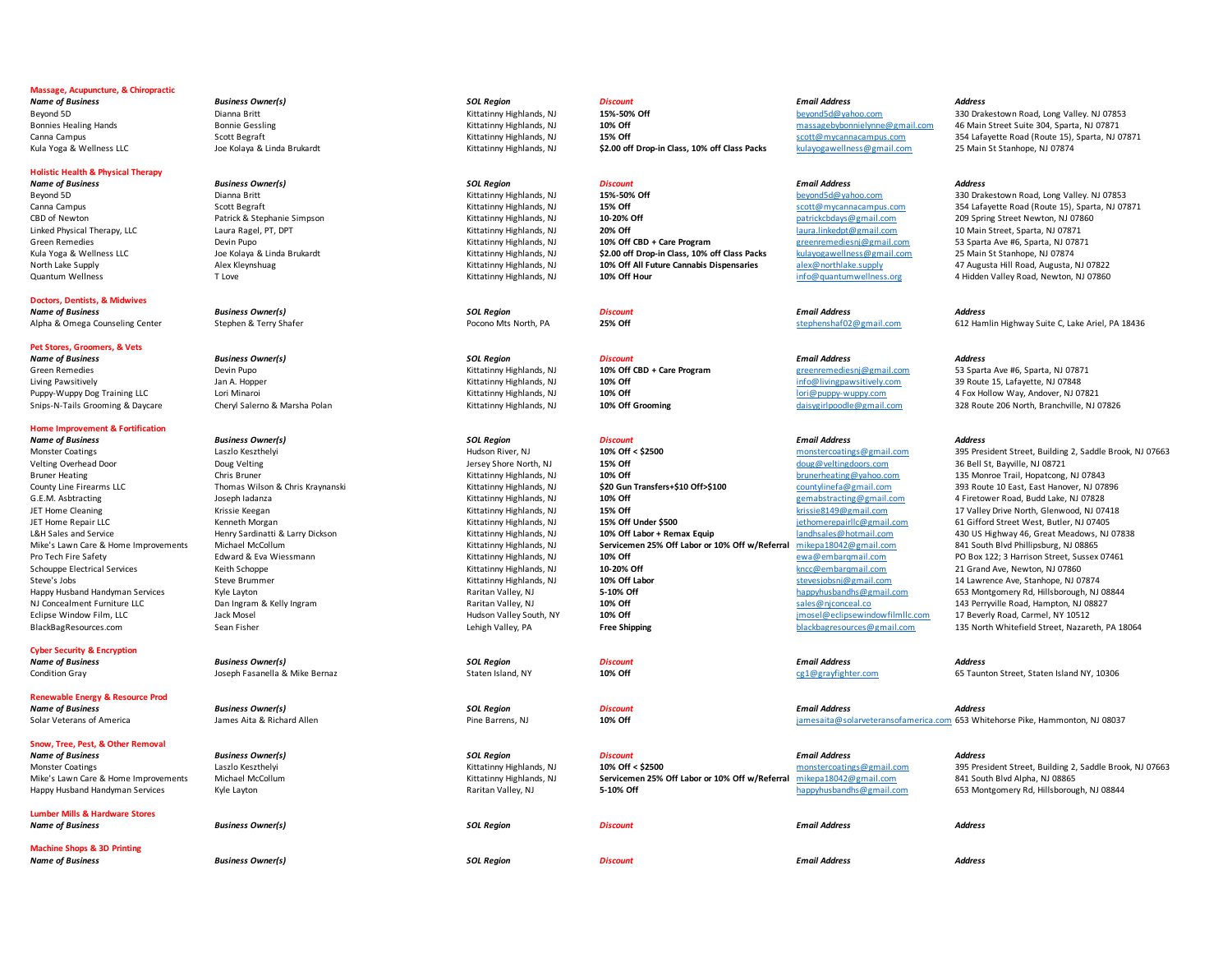# **Massage, Acupuncture, & Chiropractic**

# **Holistic Health & Physical Therapy**

**Doctors, Dentists, & Midwives** 

# **Pet Stores, Groomers, & Vets**

*Name of Business Business Owner(s) SOL Region Discount Email Address Address* Green Remedies **1.1 10% Off CBD + Care Program** Bevin Pupo Devin Pupo Devin Pupo Devin Pupo 10% Off CBD + Care Program 10% Off CBD + Care Program 20% Off CBD + Care Program 20% Off CBD + Care Program 20% Off CBD + Care Pro

## **Home Improvement & Fortification**

*Name of Business Business Owner(s) SOL Region Discount Email Address Address*

# **Cyber Security & Encryption**

# **Renewable Energy & Resource Prod**

## **Snow, Tree, Pest, & Other Removal**

**Lumber Mills & Hardware Stores** 

**Machine Shops & 3D Printing** 

*Name of Business Business Owner(s) SOL Region Discount Email Address Address*

*Name of Business Business Owner(s) SOL Region Discount Email Address Address* Condition Gray **Staten Island, NY** Staten Island, NY **10% Off** cg1@grayfighter.com 65 Taunton Street, Staten Island NY, 10306

# *Name of Business Business Owner(s) SOL Region Discount Email Address Address*

# *Name of Business Business Owner(s) SOL Region Discount Email Address Address*

*Name of Business Business Owner(s) SOL Region Discount Email Address Address*

CBD of Newton Patrick & Stephanie Simpson CBB CHITATING Highlands, NJ **10-20% Off** patrickcbdays@gmail.com 209 Spring Street Newton, NJ 07860<br>
Reversion Patrick Aircraft Patrick Aircraft Patrick Aircraft Patrick Aircraft P Linked Physical Therapy, LLC Laura Ragel, PT, DPT Kittatinny Highlands, NJ **20% Off** laura.linkedpt@gmail.com 10 Main Street, Sparta, NJ 07871 Green Remedies **Care Program Constant Constant Devin Pupo** Devin Pupo Devin Pupo Devin Pupo Devin Pupo Barta, NJ 07871<br>Kittatinny Highlands, NJ **10% Off Chapta Care Program** greenremediesni@gmail.com 25 Main St Stanhope. N Kula Yoga & Wellness LLC **Stanhope, NJ 07874** Joe Kolaya & Linda Brukardt Martinny Highlands, NJ **\$2.00 off Drop-in Class, 10% off Class Packs** kulayogawellness@gmail.com 25 Main St Stanhope, NJ 07874 North Lake Supply **Alex Kleynshuag Marking Kittatinny Highlands, NJ** 10% Off All Future Cannabis Dispensaries alex@northlake.supply 47 Augusta Hill Road, Augusta, NJ 07822 Quantum Wellness **The Cove Cover Cover 10% Cover 10% Off Hour** 10% Off Hour **Cover 10% Off Hour** info@quantumwellness.org 4 Hidden Valley Road, Newton, NJ 07860

Monster Coatings **Monster Coatings Coatings Coatings Coatings** (All and the Street, Building 2, Saddle Brook, NJ 07663 Velting Overhead Door **Doug Velting Community Community Community** Jersey Shore North, NJ 15% Off and the street of doug@veltingdoors.com 36 Bell St, Bayville, NJ 08721 Bruner Heating Chris Bruner Chris Bruner Chris Bruner Chris Bruner Chris Brunerheating Chris Hopatcong County Chris Bruner Mustafinny Highlands, NJ 10% Off<br>County Line Firearms LLC Clear, East Hanover, NJ 07843<br>County Line County Line Firearms LLC **County County Thomas Wilson & Chris Kraynanski** Kittatinny Highlands, NJ **\$20 Gun Transfers+\$10 Off>\$100** countylinefa@gmail.com 393 Route 10 East, East Hanover, NJ 07896<br>C.E.M. Asbtracting **G.E.M** Joseph Iadanza **Markia American Cittating Accord Markian** Kittatinny Highlands, NJ **10% Off** and the second of gemabstracting @gmail.com 4 Firetower Road, Budd Lake, NJ 07828 JET Home Cleaning **State Act and The Cleaning Constructs** (School, NJ 15% Off and the United States of the Unit<br>In the Magnetic Act of the Magnetic Constructs, NJ 15% Off Cleaning Highlands, NJ 15% Off Under \$500 The Super JET Home Repair LLC 15 Morgan Kenneth Morgan Kenneth Morgan States (Kittatinny Highlands, NJ 15% Off Under \$500<br>19% Under States and Service 1999 of Highlands, All 19% Off Labor + Remax Equip 10% Off Labor + Remax Equip 10 Mike's Lawn Care & Home Improvements Michael McCollum **Kittatinny Highlands, NJ Servicemen 25% Off Labor or 10% Off w/Referral** mikepa18042@gmail.com 841 South Blvd Phillipsburg, NJ 08865<br>Pro Tech Fire Safety PO Box 122: 3 Pro Tech Fire Safety **Pro Tech Fire Safety** Pro Box 122; 3 Harrison Street, Sussex 07461<br>
Po Tech Fire Safety School and Ave. Newton, NJ O7860<br>
Kittatinny Highlands, NJ 2020% Off **10-20% Off** Street, Sussex 07461 and Ave. Schouppe Electrical Services **Keith Schoppe Kittatinny Highlands**, NJ **10-20% Off** kncc@embarqmail.com 21 Grand Ave, Newton, NJ 07860 Steve's Jobs Steve Brummer Steve Brummer Steve Brummer Steve Brummer Steve Brummer Steve Brummer Steve Brummer Steve Brummer Steve Brummer Steve Ave, Stanhope, NJ 07874<br>Stand Hand Hand Man and The Steve Ave Lawrence Ave La Happy Husband Handyman Services Kyle Layton Kyle Layton Museum Museum Maritan Valley, NJ 108044<br>NJ Concealment Furniture LLC **Dan Ingram & Kelly Ingram** Selly Ingram Raritan Valley, NJ 1080 1080 1080 1080 1080 1080 1080 10 NJ Concealment Furniture LLC **Same Conceal Concerned Conceal Conceal Conceal Conceal Conceal Conceal Conceal Conce<br>
Raritan Valley South NY 108600 12 10% Off sales and sales@njconceal.co 17 Beverly Road, Carmel, NY 10512<br>** Eclipse Window Film, LLC **South, Accord Mosel Mosel Contained Accord Hudson Valley South, NY** 10% Off and the south of the south of the south of the south of the south of the south of the south and the south Accord Mosel B

# *Name of Business Business Owner(s) SOL Region Discount Email Address Address* Mike's Lawn Care & Home Improvements Michael McCollum **Kittatinny Highlands, NJ Servicemen 25% Off Labor or 10% Off w/Referral** mikepa18042@gmail.com 841 South Blvd Alpha, NJ 08865

Kula Yoga & Wellness LLC **Stanhope, NJ 07874** Joe Kolaya & Linda Brukardt Martinny Highlands, NJ **\$2.00 off Drop-in Class, 10% off Class Packs** kulayogawellness@gmail.com 25 Main St Stanhope, NJ 07874

# *Name of Business Business Owner(s) SOL Region Discount Email Address Address*

*Name of Business Business Owner(s) SOL Region Discount Email Address Address*

Solar Veterans of America **Married Married America** James Aita & Richard Allen Pine Barrens, NJ Pine Barrens, NJ 08037 Pine Barrens, NJ 10% Off **10% Off** in the same of a married and the same of a married of the same of th

# Monster Coatings **Monster Coatings Coatings Coatings** (Laszlo Keszthelyi Laszlo Keszthelyi Monstercoating Street, Building 2, Saddle Brook, NJ 07663

Happy Husband Handyman Services Kyle Layton **Music Raritan Valley, NJ Music And And Happy**husbandhs and Happyhusbandhs@gmail.com 653 Montgomery Rd, Hillsborough, NJ 08844

Beyond 5D Dianna Britt Channa Britt Channa Britt Channa Britt School of Music Music Music Music Music Music Music Music Music Music Music Music Music Music Music Music Music Music Music Music Music Music Music Music Music Bonnie Gessling massagebybonnielynne@gmail.com 46 Main Street Suite 304, Sparta, NJ 07871<br>15% Off Scott Begraft 15% Off Scott@mycannacampus.com 354 Lafayette Road (Route 15), Sparta, NJ 07871<br>15% Off Street Bonnie Scott@my Canna Campus Cannel Campus Cannel Cannel Cannel Campus Scott Begraft Scott Begraft Scott Begraft Scott Begraft Scott Begraft Scott Begraft Scott Begraft Scott Begraft Scott And De Kittatinny Highlands, NJ 15% Off Drop-in C

Beyond 5D **Dianna Britt** Dianna Britt Communication and the Museum States of the States of the States of the States of the beyond5d@yahoo.com 330 Drakestown Road, Long Valley. NJ 07853 Canna Campus Scott Begraft Scott Begraft Scott Begraft Scott Begraft Scott Begraft Scott Campus Scott Begraft Scott Begraft Scott Ally 2007 and the USL Sparta, NJ 07871 Scott Begraft Scott Begraft Scott Begraft Scott Disco

Alpha & Omega Counseling Center Stephen & Terry Shafer examples are a process Pocono Mts North, PA 25% Off and the stephenshaf02@gmail.com 612 Hamlin Highway Suite C, Lake Ariel, PA 18436

Living Pawsitively Jan A. Hopper Sand Allen And Developer and the Museum And Allen And Allen And Allen And Allen A Puppy-Wuppy Dog Training LLC Lori Minaroi Lori Minaroi Cori Minaroi Marsha Dola Minaroi Minaroi Marsha Dola Minaroi Kittatinny Highlands, NJ 10% Off Crooming and the marsha puppy-wuppy.com 4 Fox Hollow Way, Andover, NJ 078 Snips-N-Tails Grooming & Daycare Cheryl Salerno & Marsha Polan Mittatinny Highlands, NJ 10% Off Grooming daisygirlpoodle@gmail.com 328 Route 206 North, Branchville, NJ 07826

L&H Sales and Service **Henry Sardinatti & Larry Dickson** Manual Manual Manual Kittatinny Highlands, NJ 10% Off Labor + Remax Equip and hadhsales@hotmail.com 430 US Highway 46, Great Meadows, NJ 07838 BlackBagResources.com Sean Fisher Sean Fisher Sean Fisher Lehigh Valley, PA **Free Shipping Free Shipping** blackbagresources@gmail.com 135 North Whitefield Street, Nazareth, PA 18064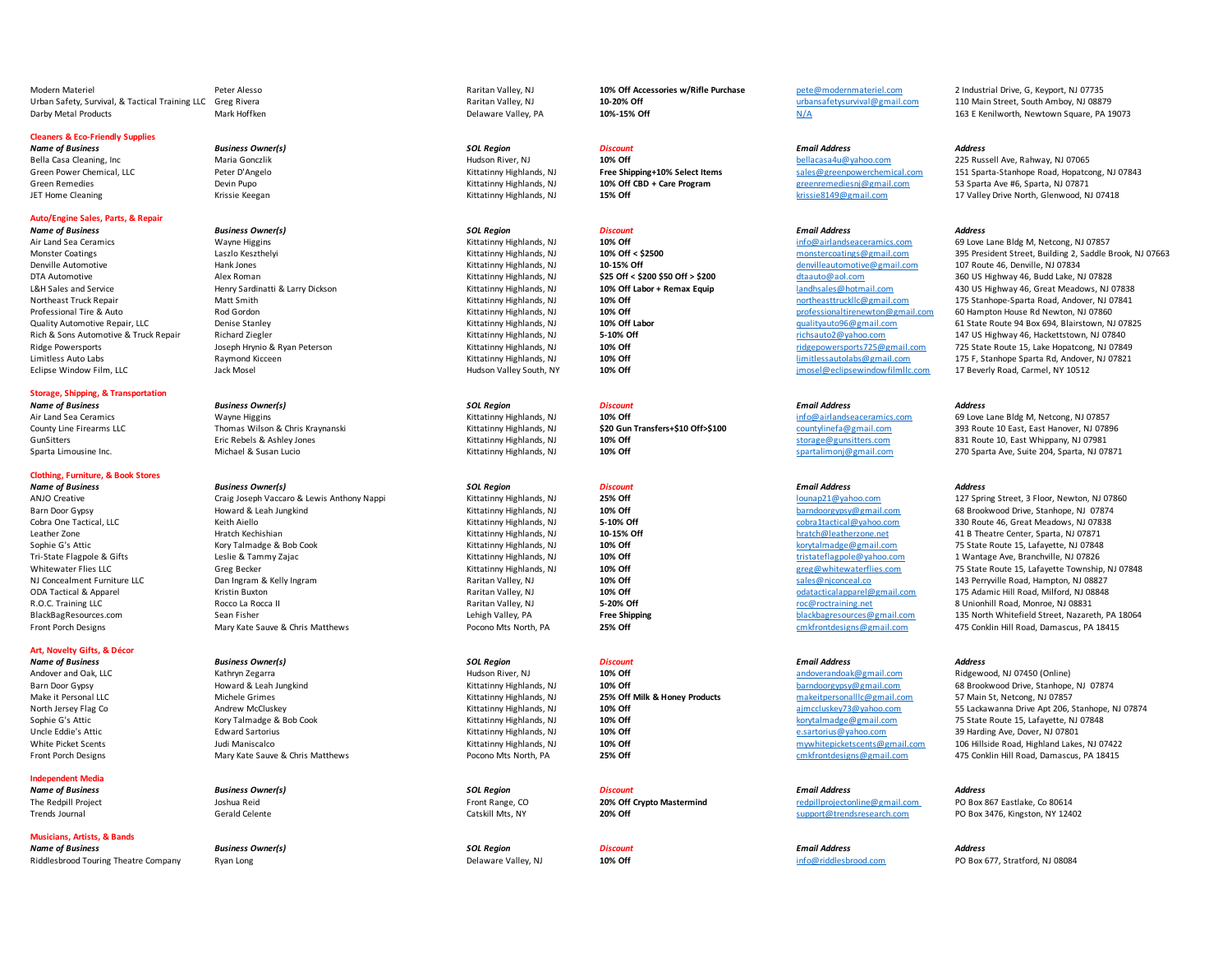Modern Materiel **1986 Materiel Peter Alesso** Peter Alesso and the Section Peter Alesso Raritan Valley, NJ **10% Off Accessories w/Rifle Purchase** pete@modernmateriel.com 2 Industrial Drive, G, Keyport, NJ 07735 Urban Safety, Survival, & Tactical Training LLC Greg Rivera Raritan Valley, NJ **10-20% Off** urbansafetysurvival@gmail.com 110 Main Street, South Amboy, NJ 08879 Darby Metal Products Mark Hoffken Mark Hoffken **Delaware Valley, PA 10%-15% Off** Newtown Square, PA 19073 Channel Delaware Valley, PA 163 E Kenilworth, Newtown Square, PA 19073

# **Cleaners & Eco-Friendly Supplies**

# **Auto/Engine Sales, Parts, & Repair**

Denville Automotive **Mank Jones Hank Jones Mank Jones Concerned Automotive** Automotive Automotive Automotive Automotive@gmail.com 107 Route 46, Denville, NJ 07834 Eclipse Window Film, LLC **South, Accord Mosel Mosel Carmel, NY 10% Off** 10% Off and the composition of the composition of the composition of the composition of the composition of the composition of the composition of the c

# **Storage, Shipping, & Transportation**

# **Clothing, Furniture, & Book Stores**

*Name of Business Business Owner(s) SOL Region Discount Email Address Address*

# **Art, Novelty Gifts, & Décor**

# **Independent Media**

# **Musicians, Artists, & Bands**

Riddlesbrood Touring Theatre Company Ryan Long **Delay 2008** 2012 2013 2014 2014 2014 2014 2014 2014 2014 2015 2016 2017 2017 2018 2017 2018 2017 2018 2017 2018 2017 2018 2017 2018 2017 2018 2017 2018 2017 2018 2017 2017 20

Air Land Sea Ceramics **Mayne Higgins Mayne Higgins** Wayne Highlands, NJ **10% Off 10% Off** info@airlandseaceramics.com 69 Love Lane Bldg M, Netcong, NJ 07857

ANJO Creative **Craig Joseph Vaccaro & Lewis Anthony Nappi** Kittatinny Highlands, NJ **25% Off Craig Joseph Vaccaro & Lewis Anthony Nappi** Kittatinny Highlands, NJ **25% Off 127 Spring Street, 3 Floor, Newton, NJ 07860** Cobra One Tactical, LLC **Cobrands, Cobrands, Cobratactical**@yahoo.com 330 Route 46, Great Meadows, NJ 07838 Route 46, Great Meadows, NJ 07838 Leather Zone **Hratch Kechishian** Highlands Hratch Kechishian Kittatinny Highlands, NJ 10-15% Off hratch@leatherzone.net 41 B Theatre Center, Sparta, NJ 07871 Sophie G's Attic **Sophie Active Cook** Kory Talmadge & Bob Cook **Sophie Active Active Active Active Active Active Active Active Active Active Active Active Active Active Active Active Active Active Active Active Active Acti** Tri-State Flagpole & Gifts **Leslie & Tammy Zajac** Microsoft Cittatinny Highlands, NJ **10% Off** the tristateflagpole@yahoo.com 1 Wantage Ave, Branchville, NJ 07826 NJ Concealment Furniture LLC **Same Concert Concert Dan Ingram & Kelly Ingram** Maritan Valley, NJ Perryville Road, Hampton, NJ OS 27 Perryville Road, Hampton, NJ 08827<br>19% Off sactical and a same of the Concert Raritan Vall R.O.C. Training LLC **Rocco La Rocca II** Raritan Valley, NJ **5-20% Off roce** and the component and a set a submill Road, Monroe, NJ 08831

Andover and Oak, LLC **Cathryn Zegarra** Music Computer, NJ Hudson River, NJ **10% Off** and Development andoverandoak@gmail.com Ridgewood, NJ 07450 (Online) Make it Personal LLC **Michele Grimes** Michele Grimes Material Machine Machine Kittatinny Highlands, NJ **25% Off Milk & Honey Products** makeitpersonalllc@gmail.com 57 Main St, Netcong, NJ 07857 Uncle Eddie's Attic **Edward Sartorius Exartorius Edward Sartorius** Edward Sartorius e.sartorius Edward Edward Sartorius e.sartorius e.sartorius@yahoo.com 39 Harding Ave, Dover, NJ 07801

Green Remedies **Green Constant Communication** Devin Pupo Devin Pupo Manus Devin Pupo Manus And Devin Pupo Kittatinny Highlands, NJ 10% Off CBD + Care Program and a preenremediesni@gmail.com 53 Sparta Ave #6, Sparta, NJ 078

# *Name of Business Business Owner(s) SOL Region Discount Email Address Address*

*Name of Business Business Owner(s) SOL Region Discount Email Address Address* Bella Casa Cleaning, Inc **Maria Gonczlik Hudson River, NJ** Hudson River, NJ **10% Off bellacasa4u@yahoo.com** 225 Russell Ave, Rahway, NJ 07065

*Name of Business Business Owner(s) SOL Region Discount Email Address Address*

*Name of Business Business Owner(s) SOL Region Discount Email Address Address*

*Name of Business Business Owner(s) SOL Region Discount Email Address Address*

*Name of Business Business Owner(s) SOL Region Discount Email Address Address*

Green Power Chemical, LLC **Same Peter D'Angelo** Microsoft Schemical, Communicationy Highlands, NJ **Free Shipping+10% Select Items** sales@greenpowerchemical.com 151 Sparta-Stanhope Road, Hopatcong, NJ 07843<br>Green Remedies S JET Home Cleaning **Manufation Cleaning Krissie Keegan** Krissie Keegan Kittatinny Highlands, NJ **15% Off** Krissie8149@gmail.com 17 Valley Drive North, Glenwood, NJ 07418

Air Land Sea Ceramics **And Sea Ceramics Community** Mayne Higgins Mayne Highlands, All and the Music Month States of the States of the States of the States of the States of the Music Community Constant Condition Music Land Monster Coatings **Monster Coatings Coatings Coatings** (Laszlo Keszthelyi Laszlo Keszthelyi Monster Monster Monstercoatings and the street, Building 2, Saddle Brook, NJ 07663 DTA Automotive **Alex Roman Alex Automotive** Alex Roman Material Alex Roman Material State Material State Material State Material State Material State Material State Material State Material State Material State Material Sta L&H Sales and Service **Henry Sardinatti & Larry Dickson** Manual States (Henry Highlands, NJ and Service Henry Sardinatti & Larry Dickson Kittatinny Highlands, NJ **10% Off Labor + Remax Equip** landhsales@hotmail.com 430 US Northeast Truck Repair Matt Smith Kittatinny Highlands, NJ **10% Off** northeasttruckllc@gmail.com 175 Stanhope-Sparta Road, Andover, NJ 07841 Professional Tire & Auto **Rod Gordon** Red Gordon **Redigent Redistion Control Cittatinny Highlands**, NJ **10% Off professional Tire & Auto** Auto House Rd Newton, NJ 07860 Quality Automotive Repair, LLC **Case Stanley Denise Stanley Company** Mittatinny Highlands, NJ **10% Off Labor** and the mail.com 61 State Route 94 Box 694, Blairstown, NJ 07825<br>Rich & Sons Automotive & Truck Repair Richard Z Rich & Sons Automotive & Truck Repair Richard Ziegler Matchard Ziegler Matchard Matchard Matchard 217 US Highway 46, Hackettstown, NJ 07840 Ridge Powersports **Market Communications Act and Town Act and Tomatcon Kittatinny Highlands, NJ 07849 10% Off** ridgepowersports725@gmail.com 725 State Route 15, Lake Hopatcong, NJ 07849 Limitless Auto Labs **Raymond Kicceen** 19821 **10% Off** 1982 **Communities** Auto Labs Auto Labs Raymond Kicceen 19821

County Line Firearms LLC **Thomas Wilson & Chris Kraynanski** Kittatinny Highlands, NJ **\$20 Gun Transfers+\$10 Off>\$100** countylinefa@gmail.com 393 Route 10 East, East Hanover, NJ 07896 GunSitters **Eric Rebels & Ashley Jones** States Ashley Mess Multimation (States Ashley Jones Multimation Highlands, NJ 10% Off storage@gunsitters.com and the Superal Report of the Superal Mess Multipany, NJ 07981 Sparta Ne, Sparta Limousine Inc. **Michael & Susan Lucio** Susan Lucio Kittatinny Highlands, NJ **10% Off** spartalimoni@gmail.com 270 Sparta Ave, Suite 204, Sparta, NJ 07871

Barn Door Gypsy Sarn Door and Howard & Leah Jungkind March 2007 Microsoft Microsoft Microsoft Howard Accord Howard & Leah Jungkind March 2007 Microsoft Microsoft Barndoorgypsy@gmail.com 68 Brookwood Drive, Stanhope, NJ 078 Whitewater Flies LLC **Creaser Creaser Creaser Creaser Accord Creaser Accord Microsoft Microsoft and State Accord Microsoft Creaser Accord 75 State Route 15, Lafayette Township, NJ 07848** ODA Tactical & Apparel Kristin Buxton Raritan Valley, NJ **10% Off** odatacticalapparel@gmail.com 175 Adamic Hill Road, Milford, NJ 08848 BlackBagResources.com Sean Fisher Sean Fisher Sean Fisher Lehigh Valley, PA **Free Shipping** Free Shipping blackbagresources@gmail.com 135 North Whitefield Street, Nazareth, PA 18064<br>1994 Front Porch Designs and Mary Kate S Front Porch Designs **Mary Kate Sauve & Chris Matthews** Pocono Mts North, PA **25% Off** cm **Canal Controlled Controlled Controlled Controlled Controlled And Annual Annual Annual Annual Annual Annual Annual Annual Annual Annu** 

Barn Door Gypsy Sarn Door and Howard & Leah Jungkind Marshall Marshall Kittatinny Highlands, NJ 10% Off **Milk & Honey Products** barndoorgypsy@gmail.com 68 Brookwood Drive, Stanhope, NJ 07874<br>Make it Personal LLC Marshall C North Jersey Flag Co **Andrew McCluskey Andrew McCluskey** and the Stanhope, NJ 07874 **Andrew McCluskey and Apply 2001** Sophie G's Attic **Sophie Action** Content Cook Cook Cittatinny Highlands, NJ **10% Off** Mathematic Mathematic Com 75 State Route 15, Lafayette, NJ 07848<br>
State of the Cook City of the Cook Cittation of the City of the Cook C White Picket Scents **Maniscalco** Judi Maniscalco Maniscalco Kittatinny Highlands, NJ **10% Off 106** Maniscalcom 106 Hillside Road, Highland Lakes, NJ 07422 Front Porch Designs Mary Kate Sauve & Chris Matthews Pocono Mts North, PA **25% Off** 25% Off cm and the controlled controlled and the 475 Conklin Hill Road, Damascus, PA 18415

The Redpill Project **19 The Redpill Project Access Provident Range, CO** 1907-20% Off Crypto Mastermind The Redpillprojectonline@gmail.com PO Box 867 Eastlake, Co 80614 Trends Journal **Catskill Mts, NY** Catskill Mts, NY **20% Off** Support@trendsresearch.com PO Box 3476, Kingston, NY 12402